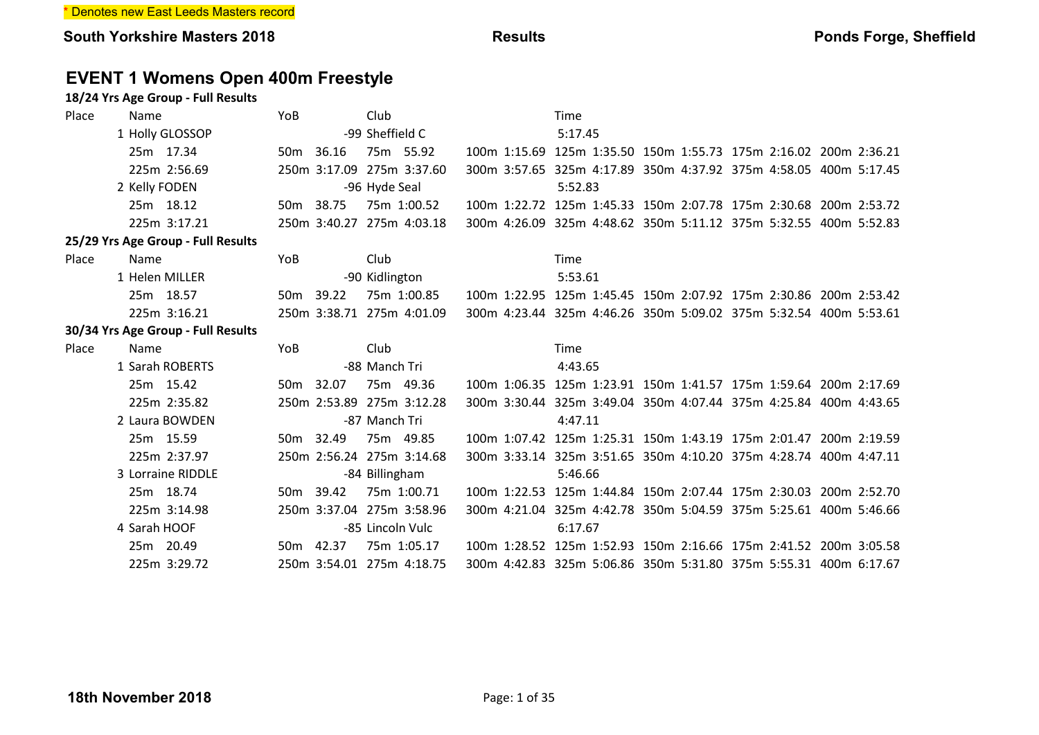## **EVENT 1 Womens Open 400m Freestyle**

| Place | Name                               | YoB                   | Club                      | Time    |                                                                  |
|-------|------------------------------------|-----------------------|---------------------------|---------|------------------------------------------------------------------|
|       | 1 Holly GLOSSOP                    |                       | -99 Sheffield C           | 5:17.45 |                                                                  |
|       | 25m 17.34                          | 50m 36.16             | 75m 55.92                 |         | 100m 1:15.69 125m 1:35.50 150m 1:55.73 175m 2:16.02 200m 2:36.21 |
|       | 225m 2:56.69                       |                       | 250m 3:17.09 275m 3:37.60 |         | 300m 3:57.65 325m 4:17.89 350m 4:37.92 375m 4:58.05 400m 5:17.45 |
|       | 2 Kelly FODEN                      |                       | -96 Hyde Seal             | 5:52.83 |                                                                  |
|       | 25m 18.12                          | 50 <sub>m</sub> 38.75 | 75m 1:00.52               |         | 100m 1:22.72 125m 1:45.33 150m 2:07.78 175m 2:30.68 200m 2:53.72 |
|       | 225m 3:17.21                       |                       | 250m 3:40.27 275m 4:03.18 |         | 300m 4:26.09 325m 4:48.62 350m 5:11.12 375m 5:32.55 400m 5:52.83 |
|       | 25/29 Yrs Age Group - Full Results |                       |                           |         |                                                                  |
| Place | Name                               | YoB                   | Club                      | Time    |                                                                  |
|       | 1 Helen MILLER                     |                       | -90 Kidlington            | 5:53.61 |                                                                  |
|       | 25m 18.57                          | 50m 39.22             | 75m 1:00.85               |         | 100m 1:22.95 125m 1:45.45 150m 2:07.92 175m 2:30.86 200m 2:53.42 |
|       | 225m 3:16.21                       |                       | 250m 3:38.71 275m 4:01.09 |         | 300m 4:23.44 325m 4:46.26 350m 5:09.02 375m 5:32.54 400m 5:53.61 |
|       | 30/34 Yrs Age Group - Full Results |                       |                           |         |                                                                  |
| Place | <b>Name</b>                        | YoB                   | Club                      | Time    |                                                                  |
|       | 1 Sarah ROBERTS                    |                       | -88 Manch Tri             | 4:43.65 |                                                                  |
|       | 25m 15.42                          | 50m 32.07             | 75m 49.36                 |         | 100m 1:06.35 125m 1:23.91 150m 1:41.57 175m 1:59.64 200m 2:17.69 |
|       | 225m 2:35.82                       |                       | 250m 2:53.89 275m 3:12.28 |         | 300m 3:30.44 325m 3:49.04 350m 4:07.44 375m 4:25.84 400m 4:43.65 |
|       | 2 Laura BOWDEN                     |                       | -87 Manch Tri             | 4:47.11 |                                                                  |
|       | 25m 15.59                          | 50m 32.49             | 75m 49.85                 |         | 100m 1:07.42 125m 1:25.31 150m 1:43.19 175m 2:01.47 200m 2:19.59 |
|       | 225m 2:37.97                       |                       | 250m 2:56.24 275m 3:14.68 |         | 300m 3:33.14 325m 3:51.65 350m 4:10.20 375m 4:28.74 400m 4:47.11 |
|       | 3 Lorraine RIDDLE                  |                       | -84 Billingham            | 5:46.66 |                                                                  |
|       | 25m 18.74                          | 50m 39.42             | 75m 1:00.71               |         | 100m 1:22.53 125m 1:44.84 150m 2:07.44 175m 2:30.03 200m 2:52.70 |
|       | 225m 3:14.98                       |                       | 250m 3:37.04 275m 3:58.96 |         | 300m 4:21.04 325m 4:42.78 350m 5:04.59 375m 5:25.61 400m 5:46.66 |
|       | 4 Sarah HOOF                       |                       | -85 Lincoln Vulc          | 6:17.67 |                                                                  |
|       | 25m 20.49                          | 50m 42.37             | 75m 1:05.17               |         | 100m 1:28.52 125m 1:52.93 150m 2:16.66 175m 2:41.52 200m 3:05.58 |
|       | 225m 3:29.72                       |                       | 250m 3:54.01 275m 4:18.75 |         | 300m 4:42.83 325m 5:06.86 350m 5:31.80 375m 5:55.31 400m 6:17.67 |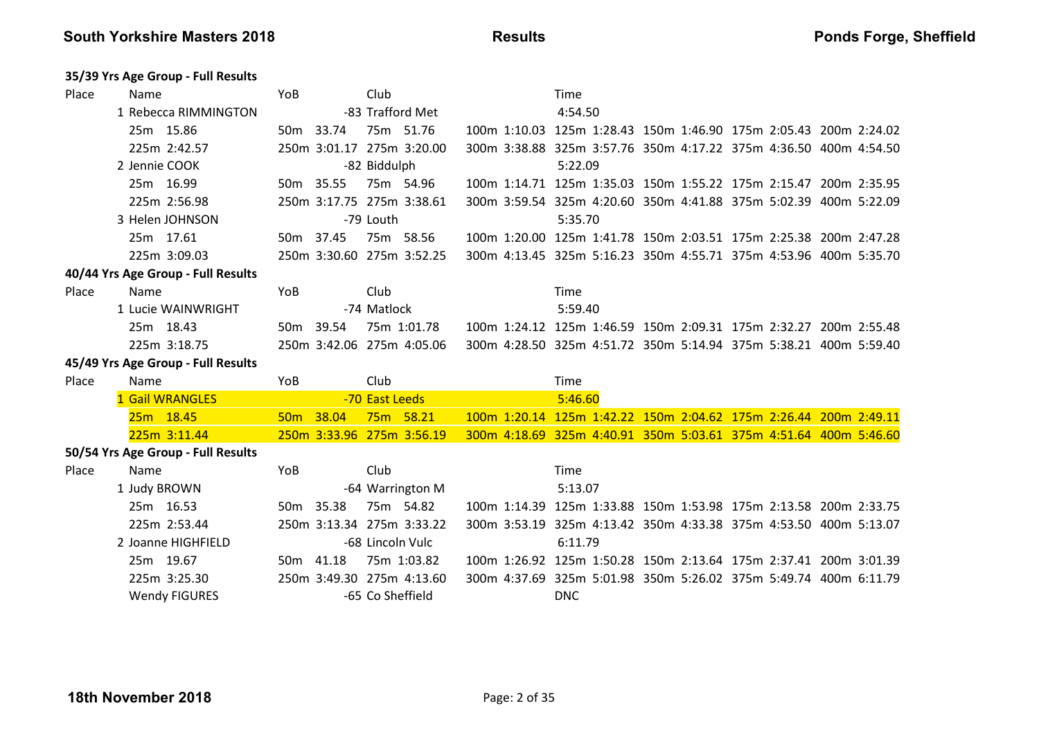| Place | <b>Name</b>                        | YoB       | Club                      | Time                                                             |
|-------|------------------------------------|-----------|---------------------------|------------------------------------------------------------------|
|       | 1 Rebecca RIMMINGTON               |           | -83 Trafford Met          | 4:54.50                                                          |
|       | 25m 15.86                          | 50m 33.74 | 75m 51.76                 | 100m 1:10.03 125m 1:28.43 150m 1:46.90 175m 2:05.43 200m 2:24.02 |
|       | 225m 2:42.57                       |           | 250m 3:01.17 275m 3:20.00 | 300m 3:38.88 325m 3:57.76 350m 4:17.22 375m 4:36.50 400m 4:54.50 |
|       | 2 Jennie COOK                      |           | -82 Biddulph              | 5:22.09                                                          |
|       | 25m 16.99                          | 50m 35.55 | 75m 54.96                 | 100m 1:14.71 125m 1:35.03 150m 1:55.22 175m 2:15.47 200m 2:35.95 |
|       | 225m 2:56.98                       |           | 250m 3:17.75 275m 3:38.61 | 300m 3:59.54 325m 4:20.60 350m 4:41.88 375m 5:02.39 400m 5:22.09 |
|       | 3 Helen JOHNSON                    |           | -79 Louth                 | 5:35.70                                                          |
|       | 25m 17.61                          | 50m 37.45 | 75m 58.56                 | 100m 1:20.00 125m 1:41.78 150m 2:03.51 175m 2:25.38 200m 2:47.28 |
|       | 225m 3:09.03                       |           | 250m 3:30.60 275m 3:52.25 | 300m 4:13.45 325m 5:16.23 350m 4:55.71 375m 4:53.96 400m 5:35.70 |
|       | 40/44 Yrs Age Group - Full Results |           |                           |                                                                  |
| Place | Name                               | YoB       | Club                      | Time                                                             |
|       | 1 Lucie WAINWRIGHT                 |           | -74 Matlock               | 5:59.40                                                          |
|       | 25m 18.43                          | 50m 39.54 | 75m 1:01.78               | 100m 1:24.12 125m 1:46.59 150m 2:09.31 175m 2:32.27 200m 2:55.48 |
|       | 225m 3:18.75                       |           | 250m 3:42.06 275m 4:05.06 | 300m 4:28.50 325m 4:51.72 350m 5:14.94 375m 5:38.21 400m 5:59.40 |
|       | 45/49 Yrs Age Group - Full Results |           |                           |                                                                  |
| Place | <b>Name</b>                        | YoB       | Club                      | Time                                                             |
|       | 1 Gail WRANGLES                    |           | -70 East Leeds            | 5:46.60                                                          |
|       | 25m 18.45                          | 50m 38.04 | 75m 58.21                 | 100m 1:20.14 125m 1:42.22 150m 2:04.62 175m 2:26.44 200m 2:49.11 |
|       | 225m 3:11.44                       |           | 250m 3:33.96 275m 3:56.19 | 300m 4:18.69 325m 4:40.91 350m 5:03.61 375m 4:51.64 400m 5:46.60 |
|       | 50/54 Yrs Age Group - Full Results |           |                           |                                                                  |
| Place | Name                               | YoB       | Club                      | Time                                                             |
|       | 1 Judy BROWN                       |           | -64 Warrington M          | 5:13.07                                                          |
|       | 25m 16.53                          | 50m 35.38 | 75m 54.82                 | 100m 1:14.39 125m 1:33.88 150m 1:53.98 175m 2:13.58 200m 2:33.75 |
|       | 225m 2:53.44                       |           | 250m 3:13.34 275m 3:33.22 | 300m 3:53.19 325m 4:13.42 350m 4:33.38 375m 4:53.50 400m 5:13.07 |
|       | 2 Joanne HIGHFIELD                 |           | -68 Lincoln Vulc          | 6:11.79                                                          |
|       | 25m 19.67                          | 50m 41.18 | 75m 1:03.82               | 100m 1:26.92 125m 1:50.28 150m 2:13.64 175m 2:37.41 200m 3:01.39 |
|       | 225m 3:25.30                       |           | 250m 3:49.30 275m 4:13.60 | 300m 4:37.69 325m 5:01.98 350m 5:26.02 375m 5:49.74 400m 6:11.79 |
|       | <b>Wendy FIGURES</b>               |           | -65 Co Sheffield          | <b>DNC</b>                                                       |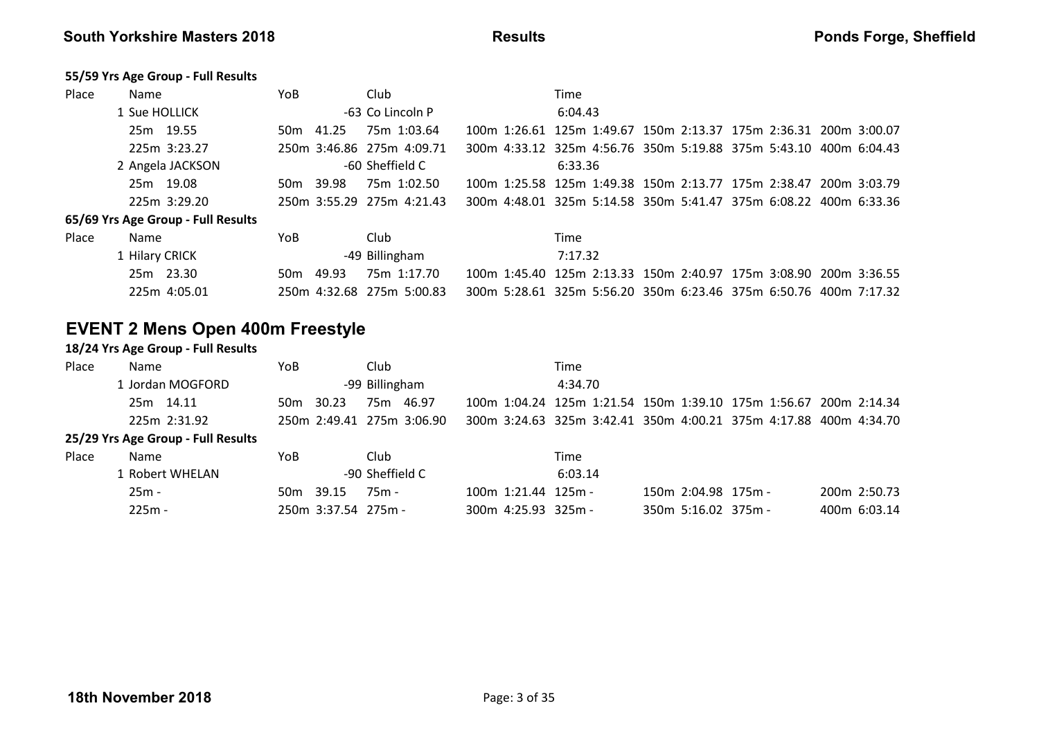#### **55/59 Yrs Age Group - Full Results**

| Place | <b>Name</b>                        | YoB                   | Club                        | <b>Time</b> |                                                                  |
|-------|------------------------------------|-----------------------|-----------------------------|-------------|------------------------------------------------------------------|
|       | 1 Sue HOLLICK                      |                       | -63 Co Lincoln P            |             | 6:04.43                                                          |
|       | 25m 19.55                          | 50 <sub>m</sub> 41.25 | 75m 1:03.64                 |             | 100m 1:26.61 125m 1:49.67 150m 2:13.37 175m 2:36.31 200m 3:00.07 |
|       | 225m 3:23.27                       |                       | 250m 3:46.86 275m 4:09.71   |             | 300m 4:33.12 325m 4:56.76 350m 5:19.88 375m 5:43.10 400m 6:04.43 |
|       | 2 Angela JACKSON                   |                       | -60 Sheffield C             |             | 6:33.36                                                          |
|       | 25m 19.08                          | 50 <sub>m</sub> 39.98 | 75m 1:02.50                 |             | 100m 1:25.58 125m 1:49.38 150m 2:13.77 175m 2:38.47 200m 3:03.79 |
|       | 225m 3:29.20                       |                       | 250m 3:55.29 275m 4:21.43   |             | 300m 4:48.01 325m 5:14.58 350m 5:41.47 375m 6:08.22 400m 6:33.36 |
|       | 65/69 Yrs Age Group - Full Results |                       |                             |             |                                                                  |
| Place | <b>Name</b>                        | YoB                   | Club                        | Time        |                                                                  |
|       | 1 Hilary CRICK                     |                       | -49 Billingham              |             | 7:17.32                                                          |
|       | 25m 23.30                          | 49.93<br>.50m         | 75m 1:17.70                 |             | 100m 1:45.40 125m 2:13.33 150m 2:40.97 175m 3:08.90 200m 3:36.55 |
|       | 225m 4:05.01                       |                       | 250 m 4:32.68 275 m 5:00.83 |             | 300m 5:28.61 325m 5:56.20 350m 6:23.46 375m 6:50.76 400m 7:17.32 |

## **EVENT 2 Mens Open 400m Freestyle**

| Place | <b>Name</b>                        | YoB  |                       | Club            |                           |                                                                  | <b>Time</b> |  |                     |  |              |
|-------|------------------------------------|------|-----------------------|-----------------|---------------------------|------------------------------------------------------------------|-------------|--|---------------------|--|--------------|
|       | 1 Jordan MOGFORD                   |      |                       | -99 Billingham  |                           |                                                                  | 4:34.70     |  |                     |  |              |
|       | 25m 14.11                          |      | 50 <sub>m</sub> 30.23 | 75m 46.97       |                           | 100m 1:04.24 125m 1:21.54 150m 1:39.10 175m 1:56.67 200m 2:14.34 |             |  |                     |  |              |
|       | 225m 2:31.92                       |      |                       |                 | 250m 2:49.41 275m 3:06.90 | 300m 3:24.63 325m 3:42.41 350m 4:00.21 375m 4:17.88 400m 4:34.70 |             |  |                     |  |              |
|       | 25/29 Yrs Age Group - Full Results |      |                       |                 |                           |                                                                  |             |  |                     |  |              |
| Place | Name                               | YoB. |                       | Club            |                           |                                                                  | Time        |  |                     |  |              |
|       | 1 Robert WHELAN                    |      |                       | -90 Sheffield C |                           |                                                                  | 6:03.14     |  |                     |  |              |
|       | $25m -$                            |      | 50 <sub>m</sub> 39.15 | 75m -           |                           | $100m$ 1:21.44 125m -                                            |             |  | 150m 2:04.98 175m - |  | 200m 2:50.73 |
|       | $225m -$                           |      | 250 m 3:37.54 275 m - |                 |                           | 300m 4:25.93 325m -                                              |             |  | 350m 5:16.02 375m - |  | 400m 6:03.14 |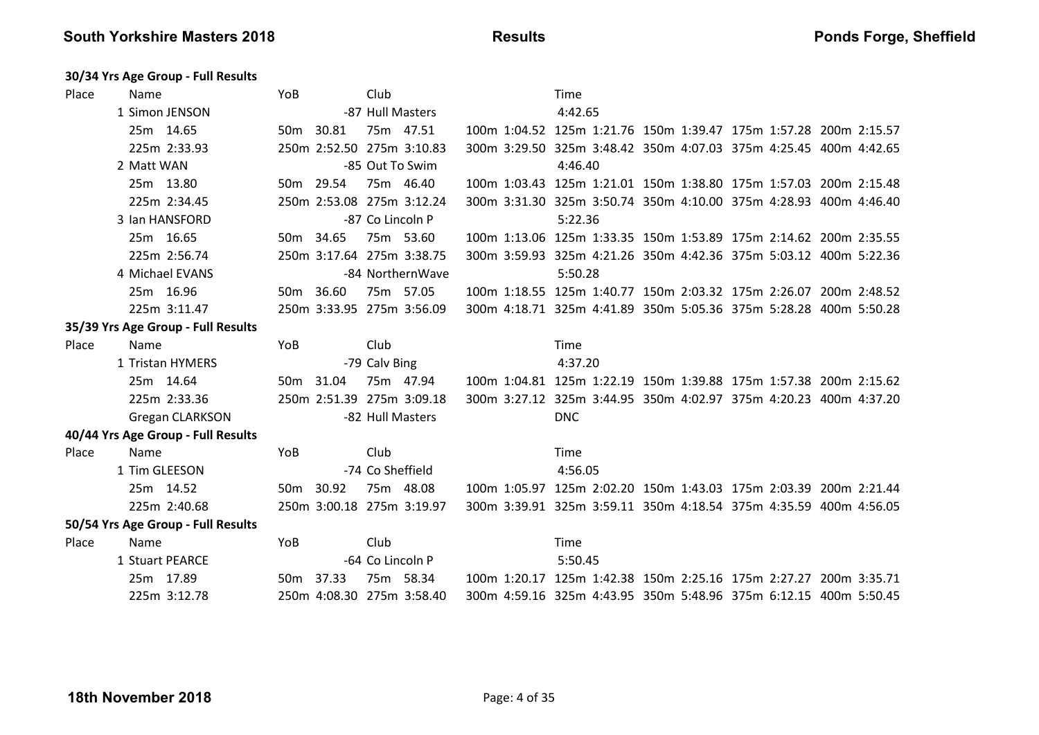| Place | Name                               | YoB                       | Club             | <b>Time</b> |                                                                  |  |
|-------|------------------------------------|---------------------------|------------------|-------------|------------------------------------------------------------------|--|
|       | 1 Simon JENSON                     |                           | -87 Hull Masters | 4:42.65     |                                                                  |  |
|       | 25m 14.65                          | 50m 30.81                 | 75m 47.51        |             | 100m 1:04.52 125m 1:21.76 150m 1:39.47 175m 1:57.28 200m 2:15.57 |  |
|       | 225m 2:33.93                       | 250m 2:52.50 275m 3:10.83 |                  |             | 300m 3:29.50 325m 3:48.42 350m 4:07.03 375m 4:25.45 400m 4:42.65 |  |
|       | 2 Matt WAN                         |                           | -85 Out To Swim  | 4:46.40     |                                                                  |  |
|       | 25m 13.80                          | 50m 29.54                 | 75m 46.40        |             | 100m 1:03.43 125m 1:21.01 150m 1:38.80 175m 1:57.03 200m 2:15.48 |  |
|       | 225m 2:34.45                       | 250m 2:53.08 275m 3:12.24 |                  |             | 300m 3:31.30 325m 3:50.74 350m 4:10.00 375m 4:28.93 400m 4:46.40 |  |
|       | 3 Ian HANSFORD                     |                           | -87 Co Lincoln P | 5:22.36     |                                                                  |  |
|       | 25m 16.65                          | 50m 34.65                 | 75m 53.60        |             | 100m 1:13.06 125m 1:33.35 150m 1:53.89 175m 2:14.62 200m 2:35.55 |  |
|       | 225m 2:56.74                       | 250m 3:17.64 275m 3:38.75 |                  |             | 300m 3:59.93 325m 4:21.26 350m 4:42.36 375m 5:03.12 400m 5:22.36 |  |
|       | 4 Michael EVANS                    |                           | -84 NorthernWave | 5:50.28     |                                                                  |  |
|       | 25m 16.96                          | 50m 36.60                 | 75m 57.05        |             | 100m 1:18.55 125m 1:40.77 150m 2:03.32 175m 2:26.07 200m 2:48.52 |  |
|       | 225m 3:11.47                       | 250m 3:33.95 275m 3:56.09 |                  |             | 300m 4:18.71 325m 4:41.89 350m 5:05.36 375m 5:28.28 400m 5:50.28 |  |
|       | 35/39 Yrs Age Group - Full Results |                           |                  |             |                                                                  |  |
| Place | Name                               | YoB                       | Club             | Time        |                                                                  |  |
|       | 1 Tristan HYMERS                   |                           | -79 Calv Bing    | 4:37.20     |                                                                  |  |
|       | 25m 14.64                          | 50m 31.04                 | 75m 47.94        |             | 100m 1:04.81 125m 1:22.19 150m 1:39.88 175m 1:57.38 200m 2:15.62 |  |
|       | 225m 2:33.36                       | 250m 2:51.39 275m 3:09.18 |                  |             | 300m 3:27.12 325m 3:44.95 350m 4:02.97 375m 4:20.23 400m 4:37.20 |  |
|       | Gregan CLARKSON                    |                           | -82 Hull Masters | <b>DNC</b>  |                                                                  |  |
|       | 40/44 Yrs Age Group - Full Results |                           |                  |             |                                                                  |  |
| Place | Name                               | YoB                       | Club             | Time        |                                                                  |  |
|       | 1 Tim GLEESON                      |                           | -74 Co Sheffield | 4:56.05     |                                                                  |  |
|       | 25m 14.52                          | 50m 30.92                 | 75m 48.08        |             | 100m 1:05.97 125m 2:02.20 150m 1:43.03 175m 2:03.39 200m 2:21.44 |  |
|       | 225m 2:40.68                       | 250m 3:00.18 275m 3:19.97 |                  |             | 300m 3:39.91 325m 3:59.11 350m 4:18.54 375m 4:35.59 400m 4:56.05 |  |
|       | 50/54 Yrs Age Group - Full Results |                           |                  |             |                                                                  |  |
| Place | Name                               | YoB                       | Club             | Time        |                                                                  |  |
|       | 1 Stuart PEARCE                    |                           | -64 Co Lincoln P | 5:50.45     |                                                                  |  |
|       | 25m 17.89                          | 50m 37.33                 | 75m 58.34        |             | 100m 1:20.17 125m 1:42.38 150m 2:25.16 175m 2:27.27 200m 3:35.71 |  |
|       | 225m 3:12.78                       | 250m 4:08.30 275m 3:58.40 |                  |             | 300m 4:59.16 325m 4:43.95 350m 5:48.96 375m 6:12.15 400m 5:50.45 |  |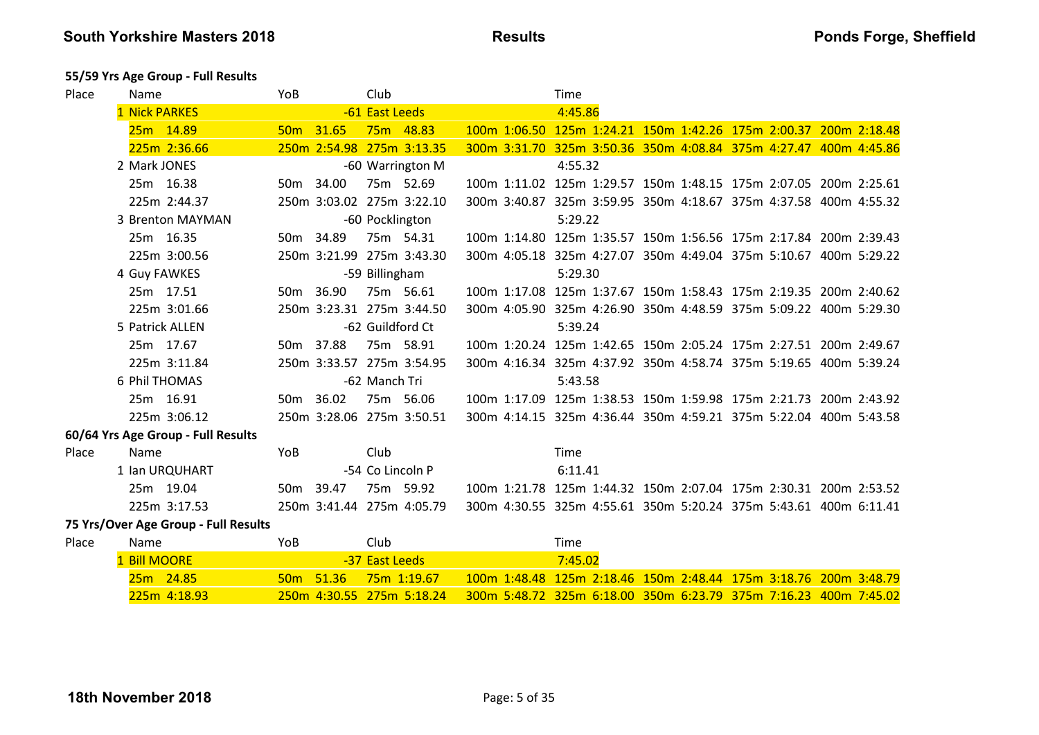| Place | Name                                 | YoB       | Club                      | Time                                                             |  |
|-------|--------------------------------------|-----------|---------------------------|------------------------------------------------------------------|--|
|       | 1 Nick PARKES                        |           | -61 East Leeds            | 4:45.86                                                          |  |
|       | 25m 14.89                            | 50m 31.65 | 75m 48.83                 | 100m 1:06.50 125m 1:24.21 150m 1:42.26 175m 2:00.37 200m 2:18.48 |  |
|       | 225m 2:36.66                         |           | 250m 2:54.98 275m 3:13.35 | 300m 3:31.70 325m 3:50.36 350m 4:08.84 375m 4:27.47 400m 4:45.86 |  |
|       | 2 Mark JONES                         |           | -60 Warrington M          | 4:55.32                                                          |  |
|       | 25m 16.38                            | 50m 34.00 | 75m 52.69                 | 100m 1:11.02 125m 1:29.57 150m 1:48.15 175m 2:07.05 200m 2:25.61 |  |
|       | 225m 2:44.37                         |           | 250m 3:03.02 275m 3:22.10 | 300m 3:40.87 325m 3:59.95 350m 4:18.67 375m 4:37.58 400m 4:55.32 |  |
|       | 3 Brenton MAYMAN                     |           | -60 Pocklington           | 5:29.22                                                          |  |
|       | 25m 16.35                            | 50m 34.89 | 75m 54.31                 | 100m 1:14.80 125m 1:35.57 150m 1:56.56 175m 2:17.84 200m 2:39.43 |  |
|       | 225m 3:00.56                         |           | 250m 3:21.99 275m 3:43.30 | 300m 4:05.18 325m 4:27.07 350m 4:49.04 375m 5:10.67 400m 5:29.22 |  |
|       | 4 Guy FAWKES                         |           | -59 Billingham            | 5:29.30                                                          |  |
|       | 25m 17.51                            | 50m 36.90 | 75m 56.61                 | 100m 1:17.08 125m 1:37.67 150m 1:58.43 175m 2:19.35 200m 2:40.62 |  |
|       | 225m 3:01.66                         |           | 250m 3:23.31 275m 3:44.50 | 300m 4:05.90 325m 4:26.90 350m 4:48.59 375m 5:09.22 400m 5:29.30 |  |
|       | 5 Patrick ALLEN                      |           | -62 Guildford Ct          | 5:39.24                                                          |  |
|       | 25m 17.67                            | 50m 37.88 | 75m 58.91                 | 100m 1:20.24 125m 1:42.65 150m 2:05.24 175m 2:27.51 200m 2:49.67 |  |
|       | 225m 3:11.84                         |           | 250m 3:33.57 275m 3:54.95 | 300m 4:16.34 325m 4:37.92 350m 4:58.74 375m 5:19.65 400m 5:39.24 |  |
|       | 6 Phil THOMAS                        |           | -62 Manch Tri             | 5:43.58                                                          |  |
|       | 25m 16.91                            | 50m 36.02 | 75m 56.06                 | 100m 1:17.09 125m 1:38.53 150m 1:59.98 175m 2:21.73 200m 2:43.92 |  |
|       | 225m 3:06.12                         |           | 250m 3:28.06 275m 3:50.51 | 300m 4:14.15 325m 4:36.44 350m 4:59.21 375m 5:22.04 400m 5:43.58 |  |
|       | 60/64 Yrs Age Group - Full Results   |           |                           |                                                                  |  |
| Place | Name                                 | YoB       | Club                      | Time                                                             |  |
|       | 1 Ian URQUHART                       |           | -54 Co Lincoln P          | 6:11.41                                                          |  |
|       | 25m 19.04                            | 50m 39.47 | 75m 59.92                 | 100m 1:21.78 125m 1:44.32 150m 2:07.04 175m 2:30.31 200m 2:53.52 |  |
|       | 225m 3:17.53                         |           | 250m 3:41.44 275m 4:05.79 | 300m 4:30.55 325m 4:55.61 350m 5:20.24 375m 5:43.61 400m 6:11.41 |  |
|       | 75 Yrs/Over Age Group - Full Results |           |                           |                                                                  |  |
| Place | <b>Name</b>                          | YoB.      | Club                      | Time                                                             |  |
|       | 1 Bill MOORE                         |           | -37 East Leeds            | 7:45.02                                                          |  |
|       | 25m 24.85                            | 50m 51.36 | 75m 1:19.67               | 100m 1:48.48 125m 2:18.46 150m 2:48.44 175m 3:18.76 200m 3:48.79 |  |
|       | 225m 4:18.93                         |           | 250m 4:30.55 275m 5:18.24 | 300m 5:48.72 325m 6:18.00 350m 6:23.79 375m 7:16.23 400m 7:45.02 |  |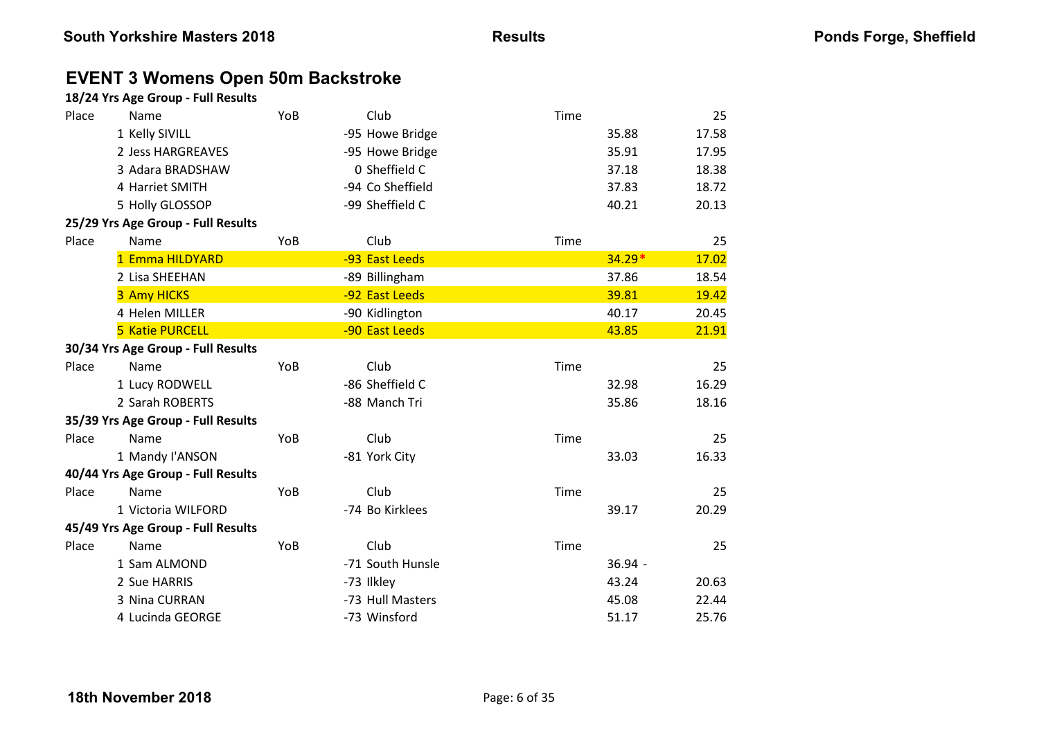## **EVENT 3 Womens Open 50m Backstroke**

| Place | Name                               | YoB | Club             | Time |           | 25    |
|-------|------------------------------------|-----|------------------|------|-----------|-------|
|       | 1 Kelly SIVILL                     |     | -95 Howe Bridge  |      | 35.88     | 17.58 |
|       | 2 Jess HARGREAVES                  |     | -95 Howe Bridge  |      | 35.91     | 17.95 |
|       | 3 Adara BRADSHAW                   |     | 0 Sheffield C    |      | 37.18     | 18.38 |
|       | 4 Harriet SMITH                    |     | -94 Co Sheffield |      | 37.83     | 18.72 |
|       | 5 Holly GLOSSOP                    |     | -99 Sheffield C  |      | 40.21     | 20.13 |
|       | 25/29 Yrs Age Group - Full Results |     |                  |      |           |       |
| Place | Name                               | YoB | Club             | Time |           | 25    |
|       | 1 Emma HILDYARD                    |     | -93 East Leeds   |      | $34.29*$  | 17.02 |
|       | 2 Lisa SHEEHAN                     |     | -89 Billingham   |      | 37.86     | 18.54 |
|       | 3 Amy HICKS                        |     | -92 East Leeds   |      | 39.81     | 19.42 |
|       | 4 Helen MILLER                     |     | -90 Kidlington   |      | 40.17     | 20.45 |
|       | <b>5 Katie PURCELL</b>             |     | -90 East Leeds   |      | 43.85     | 21.91 |
|       | 30/34 Yrs Age Group - Full Results |     |                  |      |           |       |
| Place | Name                               | YoB | Club             | Time |           | 25    |
|       | 1 Lucy RODWELL                     |     | -86 Sheffield C  |      | 32.98     | 16.29 |
|       | 2 Sarah ROBERTS                    |     | -88 Manch Tri    |      | 35.86     | 18.16 |
|       | 35/39 Yrs Age Group - Full Results |     |                  |      |           |       |
| Place | Name                               | YoB | Club             | Time |           | 25    |
|       | 1 Mandy I'ANSON                    |     | -81 York City    |      | 33.03     | 16.33 |
|       | 40/44 Yrs Age Group - Full Results |     |                  |      |           |       |
| Place | Name                               | YoB | Club             | Time |           | 25    |
|       | 1 Victoria WILFORD                 |     | -74 Bo Kirklees  |      | 39.17     | 20.29 |
|       | 45/49 Yrs Age Group - Full Results |     |                  |      |           |       |
| Place | Name                               | YoB | Club             | Time |           | 25    |
|       | 1 Sam ALMOND                       |     | -71 South Hunsle |      | $36.94 -$ |       |
|       | 2 Sue HARRIS                       |     | -73 Ilkley       |      | 43.24     | 20.63 |
|       | 3 Nina CURRAN                      |     | -73 Hull Masters |      | 45.08     | 22.44 |
|       | 4 Lucinda GEORGE                   |     | -73 Winsford     |      | 51.17     | 25.76 |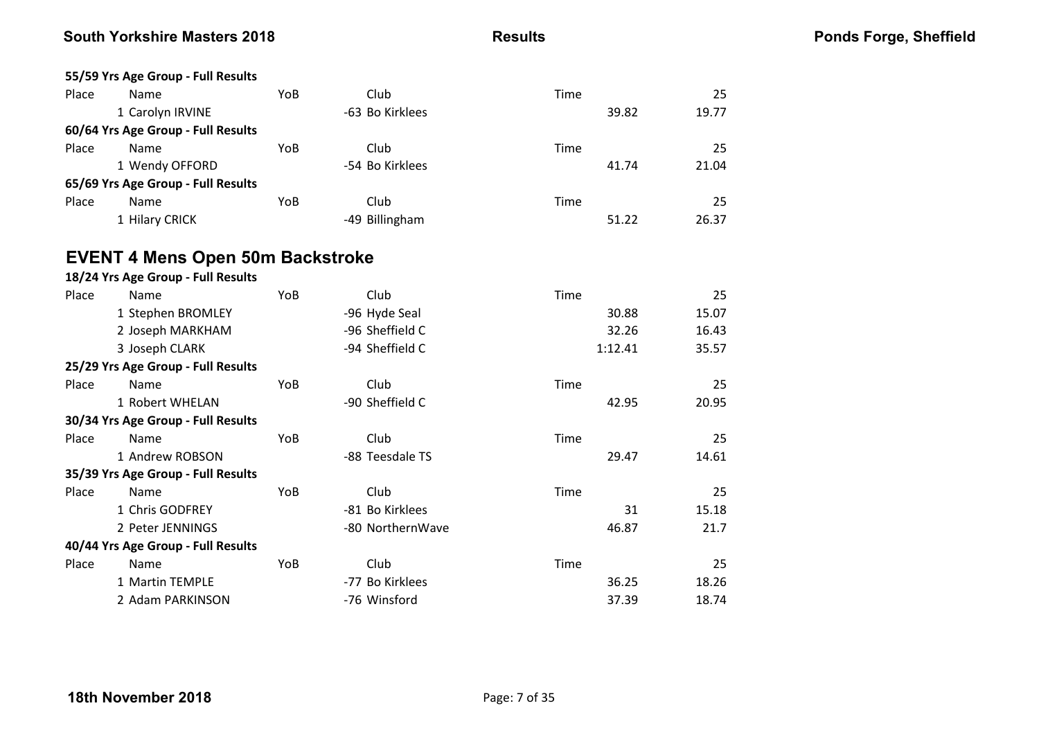#### **55/59 Yrs Age Group - Full Results**

| Place | <b>Name</b>                        | YoB | Club            | Time  | 25    |
|-------|------------------------------------|-----|-----------------|-------|-------|
|       | 1 Carolyn IRVINE                   |     | -63 Bo Kirklees | 39.82 | 19.77 |
|       | 60/64 Yrs Age Group - Full Results |     |                 |       |       |
| Place | <b>Name</b>                        | YoB | Club            | Time  | 25    |
|       | 1 Wendy OFFORD                     |     | -54 Bo Kirklees | 41.74 | 21.04 |
|       | 65/69 Yrs Age Group - Full Results |     |                 |       |       |
| Place | <b>Name</b>                        | YoB | Club            | Time  | 25    |
|       | 1 Hilary CRICK                     |     | -49 Billingham  | 51.22 | 26.37 |

## **EVENT 4 Mens Open 50m Backstroke**

| Place | Name                               | YoB | Club             | Time    | 25    |
|-------|------------------------------------|-----|------------------|---------|-------|
|       | 1 Stephen BROMLEY                  |     | -96 Hyde Seal    | 30.88   | 15.07 |
|       | 2 Joseph MARKHAM                   |     | -96 Sheffield C  | 32.26   | 16.43 |
|       | 3 Joseph CLARK                     |     | -94 Sheffield C  | 1:12.41 | 35.57 |
|       | 25/29 Yrs Age Group - Full Results |     |                  |         |       |
| Place | Name                               | YoB | Club             | Time    | 25    |
|       | 1 Robert WHELAN                    |     | -90 Sheffield C  | 42.95   | 20.95 |
|       | 30/34 Yrs Age Group - Full Results |     |                  |         |       |
| Place | Name                               | YoB | Club             | Time    | 25    |
|       | 1 Andrew ROBSON                    |     | -88 Teesdale TS  | 29.47   | 14.61 |
|       | 35/39 Yrs Age Group - Full Results |     |                  |         |       |
| Place | Name                               | YoB | Club             | Time    | 25    |
|       | 1 Chris GODFREY                    |     | -81 Bo Kirklees  | 31      | 15.18 |
|       | 2 Peter JENNINGS                   |     | -80 NorthernWave | 46.87   | 21.7  |
|       | 40/44 Yrs Age Group - Full Results |     |                  |         |       |
| Place | Name                               | YoB | Club             | Time    | 25    |
|       | 1 Martin TEMPLE                    |     | -77 Bo Kirklees  | 36.25   | 18.26 |
|       | 2 Adam PARKINSON                   |     | -76 Winsford     | 37.39   | 18.74 |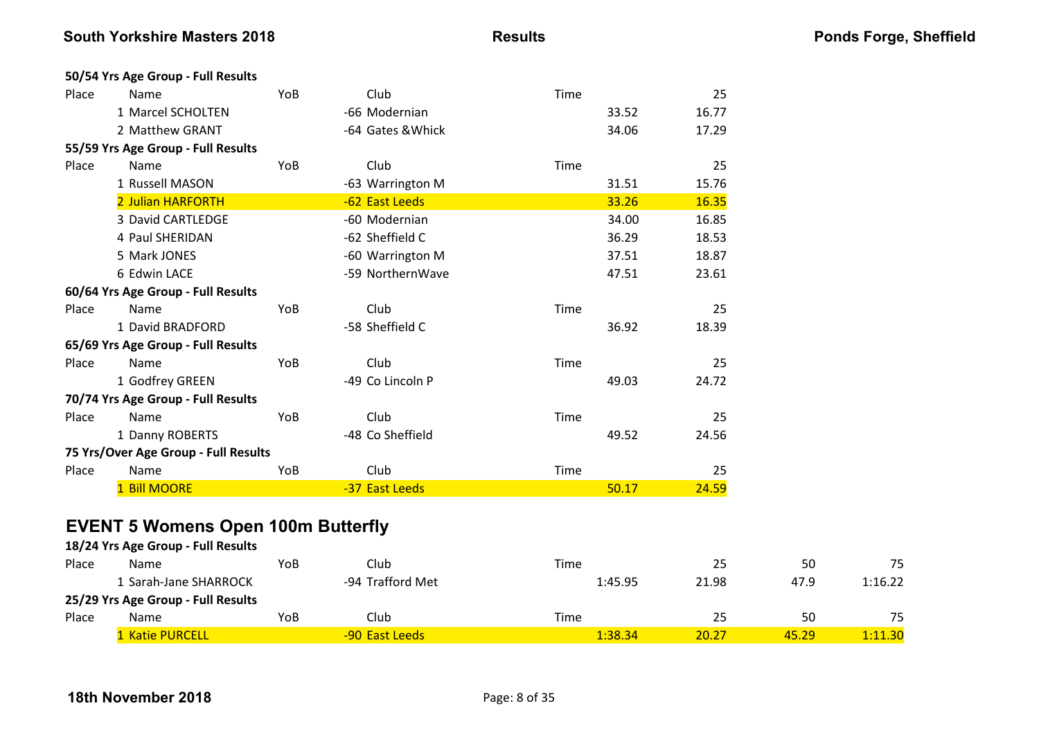#### **50/54 Yrs Age Group - Full Results**

| Place | Name                                      | YoB | Club              | Time  | 25    |
|-------|-------------------------------------------|-----|-------------------|-------|-------|
|       | 1 Marcel SCHOLTEN                         |     | -66 Modernian     | 33.52 | 16.77 |
|       | 2 Matthew GRANT                           |     | -64 Gates & Whick | 34.06 | 17.29 |
|       | 55/59 Yrs Age Group - Full Results        |     |                   |       |       |
| Place | Name                                      | YoB | Club              | Time  | 25    |
|       | 1 Russell MASON                           |     | -63 Warrington M  | 31.51 | 15.76 |
|       | 2 Julian HARFORTH                         |     | -62 East Leeds    | 33.26 | 16.35 |
|       | 3 David CARTLEDGE                         |     | -60 Modernian     | 34.00 | 16.85 |
|       | 4 Paul SHERIDAN                           |     | -62 Sheffield C   | 36.29 | 18.53 |
|       | 5 Mark JONES                              |     | -60 Warrington M  | 37.51 | 18.87 |
|       | 6 Edwin LACE                              |     | -59 NorthernWave  | 47.51 | 23.61 |
|       | 60/64 Yrs Age Group - Full Results        |     |                   |       |       |
| Place | Name                                      | YoB | Club              | Time  | 25    |
|       | 1 David BRADFORD                          |     | -58 Sheffield C   | 36.92 | 18.39 |
|       | 65/69 Yrs Age Group - Full Results        |     |                   |       |       |
| Place | Name                                      | YoB | Club              | Time  | 25    |
|       | 1 Godfrey GREEN                           |     | -49 Co Lincoln P  | 49.03 | 24.72 |
|       | 70/74 Yrs Age Group - Full Results        |     |                   |       |       |
| Place | Name                                      | YoB | Club              | Time  | 25    |
|       | 1 Danny ROBERTS                           |     | -48 Co Sheffield  | 49.52 | 24.56 |
|       | 75 Yrs/Over Age Group - Full Results      |     |                   |       |       |
| Place | Name                                      | YoB | Club              | Time  | 25    |
|       | 1 Bill MOORE                              |     | -37 East Leeds    | 50.17 | 24.59 |
|       |                                           |     |                   |       |       |
|       | <b>EVENT 5 Womens Open 100m Butterfly</b> |     |                   |       |       |

| Place | Name                               | YoB | Club             | Time    | 25    | 50    |         |
|-------|------------------------------------|-----|------------------|---------|-------|-------|---------|
|       | 1 Sarah-Jane SHARROCK              |     | -94 Trafford Met | 1:45.95 | 21.98 | 47.9  | 1:16.22 |
|       | 25/29 Yrs Age Group - Full Results |     |                  |         |       |       |         |
| Place | <b>Name</b>                        | YoB | Club             | Time    | 25    | 50    | 75      |
|       | 1 Katie PURCELL                    |     | -90 East Leeds   | 1:38.34 | 20.27 | 45.29 | 1:11.30 |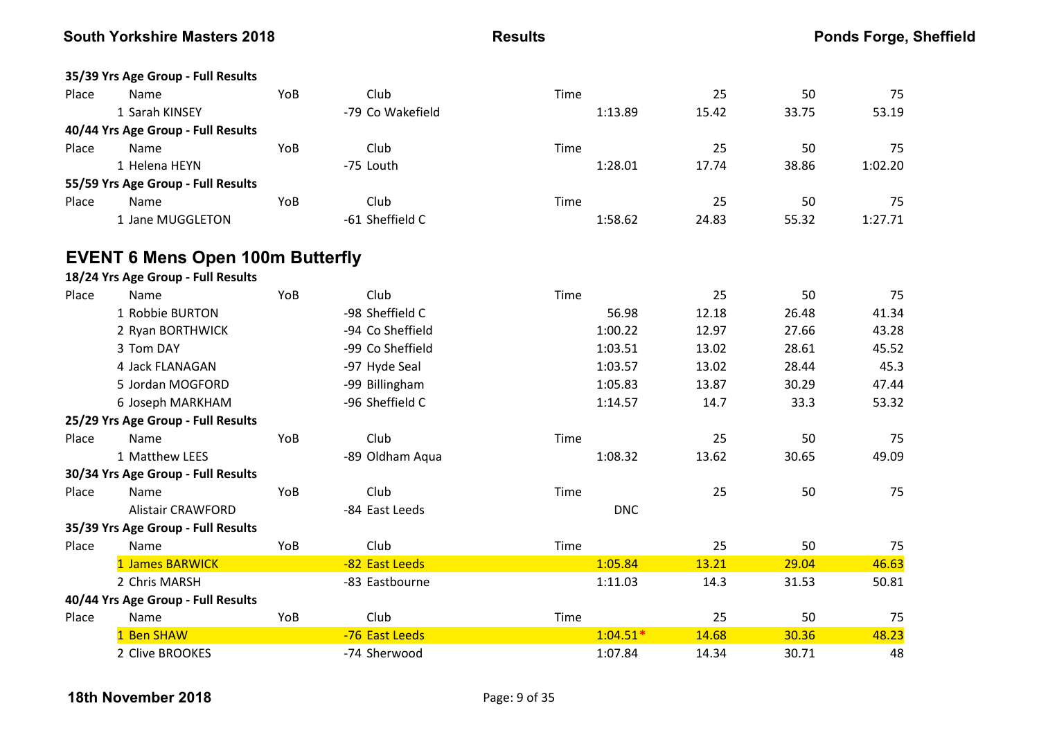|       | 35/39 Yrs Age Group - Full Results      |     |                  |            |       |       |         |
|-------|-----------------------------------------|-----|------------------|------------|-------|-------|---------|
| Place | Name                                    | YoB | Club             | Time       | 25    | 50    | 75      |
|       | 1 Sarah KINSEY                          |     | -79 Co Wakefield | 1:13.89    | 15.42 | 33.75 | 53.19   |
|       | 40/44 Yrs Age Group - Full Results      |     |                  |            |       |       |         |
| Place | Name                                    | YoB | Club             | Time       | 25    | 50    | 75      |
|       | 1 Helena HEYN                           |     | -75 Louth        | 1:28.01    | 17.74 | 38.86 | 1:02.20 |
|       | 55/59 Yrs Age Group - Full Results      |     |                  |            |       |       |         |
| Place | Name                                    | YoB | Club             | Time       | 25    | 50    | 75      |
|       | 1 Jane MUGGLETON                        |     | -61 Sheffield C  | 1:58.62    | 24.83 | 55.32 | 1:27.71 |
|       | <b>EVENT 6 Mens Open 100m Butterfly</b> |     |                  |            |       |       |         |
|       | 18/24 Yrs Age Group - Full Results      |     |                  |            |       |       |         |
| Place | Name                                    | YoB | Club             | Time       | 25    | 50    | 75      |
|       | 1 Robbie BURTON                         |     | -98 Sheffield C  | 56.98      | 12.18 | 26.48 | 41.34   |
|       | 2 Ryan BORTHWICK                        |     | -94 Co Sheffield | 1:00.22    | 12.97 | 27.66 | 43.28   |
|       | 3 Tom DAY                               |     | -99 Co Sheffield | 1:03.51    | 13.02 | 28.61 | 45.52   |
|       | 4 Jack FLANAGAN                         |     | -97 Hyde Seal    | 1:03.57    | 13.02 | 28.44 | 45.3    |
|       | 5 Jordan MOGFORD                        |     | -99 Billingham   | 1:05.83    | 13.87 | 30.29 | 47.44   |
|       | 6 Joseph MARKHAM                        |     | -96 Sheffield C  | 1:14.57    | 14.7  | 33.3  | 53.32   |
|       | 25/29 Yrs Age Group - Full Results      |     |                  |            |       |       |         |
| Place | Name                                    | YoB | Club             | Time       | 25    | 50    | 75      |
|       | 1 Matthew LEES                          |     | -89 Oldham Aqua  | 1:08.32    | 13.62 | 30.65 | 49.09   |
|       | 30/34 Yrs Age Group - Full Results      |     |                  |            |       |       |         |
| Place | Name                                    | YoB | Club             | Time       | 25    | 50    | 75      |
|       | <b>Alistair CRAWFORD</b>                |     | -84 East Leeds   | <b>DNC</b> |       |       |         |
|       | 35/39 Yrs Age Group - Full Results      |     |                  |            |       |       |         |
| Place | Name                                    | YoB | Club             | Time       | 25    | 50    | 75      |
|       | 1 James BARWICK                         |     | -82 East Leeds   | 1:05.84    | 13.21 | 29.04 | 46.63   |
|       | 2 Chris MARSH                           |     | -83 Eastbourne   | 1:11.03    | 14.3  | 31.53 | 50.81   |
|       | 40/44 Yrs Age Group - Full Results      |     |                  |            |       |       |         |
| Place | Name                                    | YoB | Club             | Time       | 25    | 50    | 75      |
|       | 1 Ben SHAW                              |     | -76 East Leeds   | $1:04.51*$ | 14.68 | 30.36 | 48.23   |
|       | 2 Clive BROOKES                         |     | -74 Sherwood     | 1:07.84    | 14.34 | 30.71 | 48      |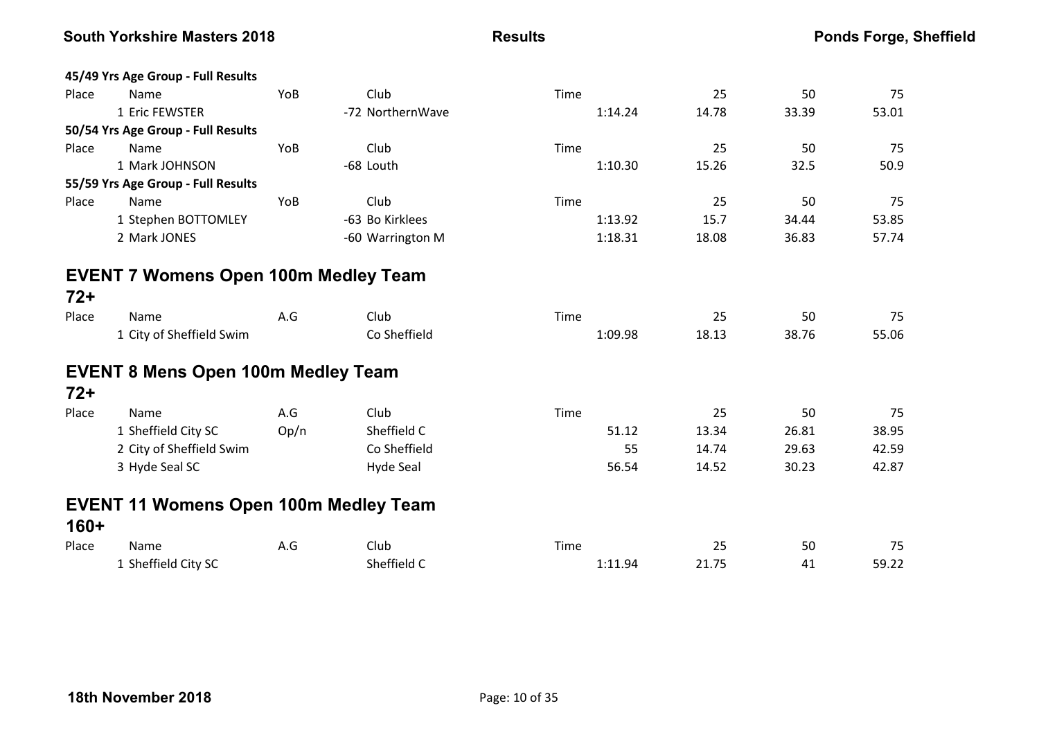|        | <b>South Yorkshire Masters 2018</b>          |      |                  | <b>Results</b> |       | <b>Ponds Forge, Sheffield</b> |       |  |  |  |
|--------|----------------------------------------------|------|------------------|----------------|-------|-------------------------------|-------|--|--|--|
|        | 45/49 Yrs Age Group - Full Results           |      |                  |                |       |                               |       |  |  |  |
| Place  | Name                                         | YoB  | Club             | Time           | 25    | 50                            | 75    |  |  |  |
|        | 1 Eric FEWSTER                               |      | -72 NorthernWave | 1:14.24        | 14.78 | 33.39                         | 53.01 |  |  |  |
|        | 50/54 Yrs Age Group - Full Results           |      |                  |                |       |                               |       |  |  |  |
| Place  | Name                                         | YoB  | Club             | Time           | 25    | 50                            | 75    |  |  |  |
|        | 1 Mark JOHNSON                               |      | -68 Louth        | 1:10.30        | 15.26 | 32.5                          | 50.9  |  |  |  |
|        | 55/59 Yrs Age Group - Full Results           |      |                  |                |       |                               |       |  |  |  |
| Place  | Name                                         | YoB  | Club             | Time           | 25    | 50                            | 75    |  |  |  |
|        | 1 Stephen BOTTOMLEY                          |      | -63 Bo Kirklees  | 1:13.92        | 15.7  | 34.44                         | 53.85 |  |  |  |
|        | 2 Mark JONES                                 |      | -60 Warrington M | 1:18.31        | 18.08 | 36.83                         | 57.74 |  |  |  |
| $72+$  | <b>EVENT 7 Womens Open 100m Medley Team</b>  |      |                  |                |       |                               |       |  |  |  |
| Place  | Name                                         | A.G  | Club             | Time           | 25    | 50                            | 75    |  |  |  |
|        | 1 City of Sheffield Swim                     |      | Co Sheffield     | 1:09.98        | 18.13 | 38.76                         | 55.06 |  |  |  |
| $72+$  | <b>EVENT 8 Mens Open 100m Medley Team</b>    |      |                  |                |       |                               |       |  |  |  |
| Place  | Name                                         | A.G  | Club             | Time           | 25    | 50                            | 75    |  |  |  |
|        | 1 Sheffield City SC                          | Op/n | Sheffield C      | 51.12          | 13.34 | 26.81                         | 38.95 |  |  |  |
|        | 2 City of Sheffield Swim                     |      | Co Sheffield     | 55             | 14.74 | 29.63                         | 42.59 |  |  |  |
|        | 3 Hyde Seal SC                               |      | Hyde Seal        | 56.54          | 14.52 | 30.23                         | 42.87 |  |  |  |
| $160+$ | <b>EVENT 11 Womens Open 100m Medley Team</b> |      |                  |                |       |                               |       |  |  |  |
| Place  | Name                                         | A.G  | Club             | Time           | 25    | 50                            | 75    |  |  |  |
|        | 1 Sheffield City SC                          |      | Sheffield C      | 1:11.94        | 21.75 | 41                            | 59.22 |  |  |  |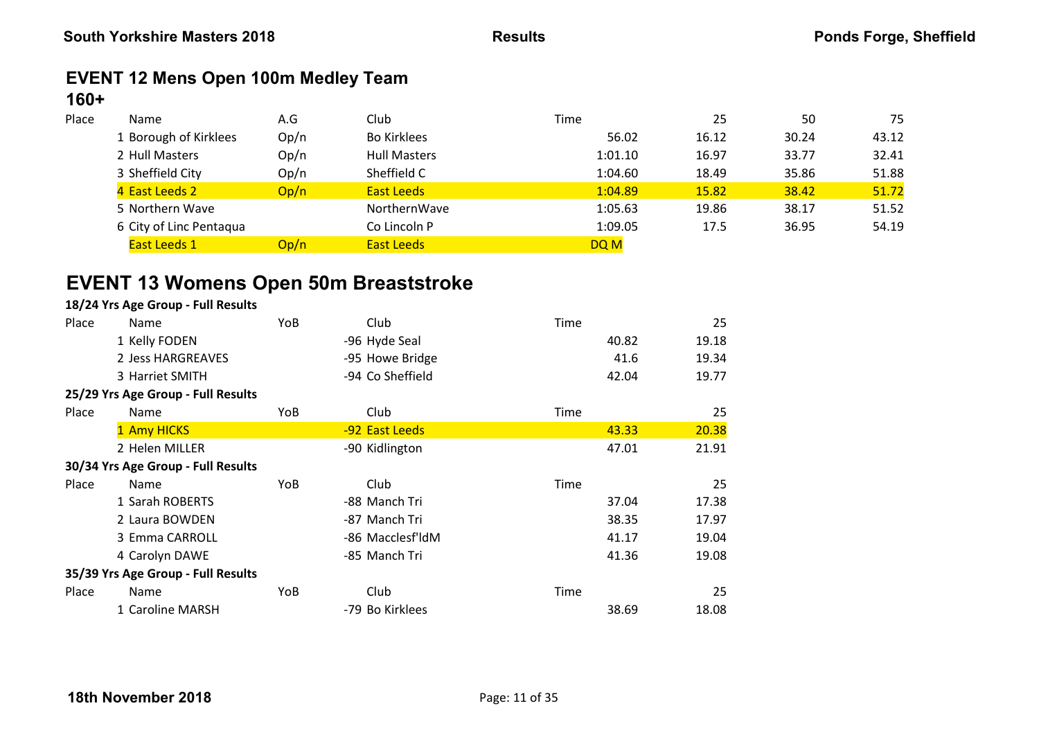## **EVENT 12 Mens Open 100m Medley Team 160+**

| Place | <b>Name</b>             | A.G  | Club                | <b>Time</b> | 25    | 50    | 75    |
|-------|-------------------------|------|---------------------|-------------|-------|-------|-------|
|       | 1 Borough of Kirklees   | Op/n | <b>Bo Kirklees</b>  | 56.02       | 16.12 | 30.24 | 43.12 |
|       | 2 Hull Masters          | Op/n | <b>Hull Masters</b> | 1:01.10     | 16.97 | 33.77 | 32.41 |
|       | 3 Sheffield City        | Op/n | Sheffield C         | 1:04.60     | 18.49 | 35.86 | 51.88 |
|       | 4 East Leeds 2          | Op/n | <b>East Leeds</b>   | 1:04.89     | 15.82 | 38.42 | 51.72 |
|       | 5 Northern Wave         |      | NorthernWave        | 1:05.63     | 19.86 | 38.17 | 51.52 |
|       | 6 City of Linc Pentaqua |      | Co Lincoln P        | 1:09.05     | 17.5  | 36.95 | 54.19 |
|       | East Leeds 1            | Op/n | <b>East Leeds</b>   | DQ M        |       |       |       |

## **EVENT 13 Womens Open 50m Breaststroke**

|       | 18/24 Yrs Age Group - Full Results |     |                  |             |       |       |
|-------|------------------------------------|-----|------------------|-------------|-------|-------|
| Place | <b>Name</b>                        | YoB | Club             | Time        |       | 25    |
|       | 1 Kelly FODEN                      |     | -96 Hyde Seal    |             | 40.82 | 19.18 |
|       | 2 Jess HARGREAVES                  |     | -95 Howe Bridge  |             | 41.6  | 19.34 |
|       | 3 Harriet SMITH                    |     | -94 Co Sheffield |             | 42.04 | 19.77 |
|       | 25/29 Yrs Age Group - Full Results |     |                  |             |       |       |
| Place | <b>Name</b>                        | YoB | Club             | Time        |       | 25    |
|       | 1 Amy HICKS                        |     | -92 East Leeds   |             | 43.33 | 20.38 |
|       | 2 Helen MILLER                     |     | -90 Kidlington   |             | 47.01 | 21.91 |
|       | 30/34 Yrs Age Group - Full Results |     |                  |             |       |       |
| Place | <b>Name</b>                        | YoB | Club             | Time        |       | 25    |
|       | 1 Sarah ROBERTS                    |     | -88 Manch Tri    |             | 37.04 | 17.38 |
|       | 2 Laura BOWDEN                     |     | -87 Manch Tri    |             | 38.35 | 17.97 |
|       | 3 Emma CARROLL                     |     | -86 Macclesf'ldM |             | 41.17 | 19.04 |
|       | 4 Carolyn DAWE                     |     | -85 Manch Tri    |             | 41.36 | 19.08 |
|       | 35/39 Yrs Age Group - Full Results |     |                  |             |       |       |
| Place | <b>Name</b>                        | YoB | Club             | <b>Time</b> |       | 25    |
|       | 1 Caroline MARSH                   |     | -79 Bo Kirklees  |             | 38.69 | 18.08 |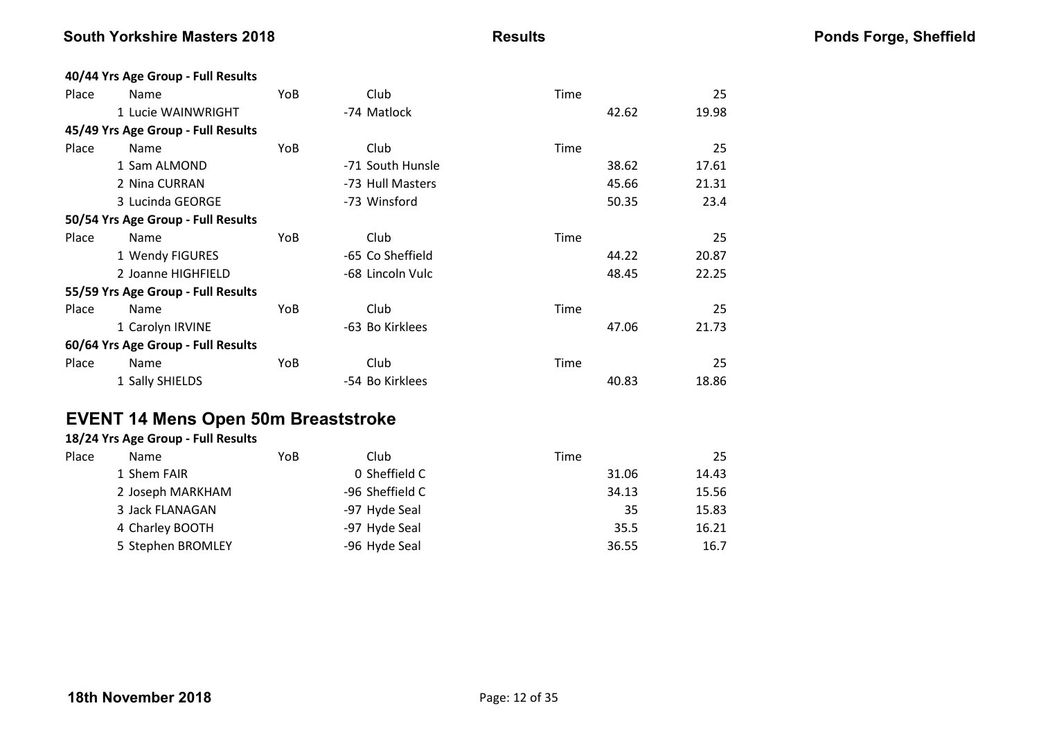### **40/44 Yrs Age Group - Full Results**

| Place | Name                               | YoB | Club             | Time        | 25    |
|-------|------------------------------------|-----|------------------|-------------|-------|
|       | 1 Lucie WAINWRIGHT                 |     | -74 Matlock      | 42.62       | 19.98 |
|       | 45/49 Yrs Age Group - Full Results |     |                  |             |       |
| Place | Name                               | YoB | Club             | Time        | 25    |
|       | 1 Sam ALMOND                       |     | -71 South Hunsle | 38.62       | 17.61 |
|       | 2 Nina CURRAN                      |     | -73 Hull Masters | 45.66       | 21.31 |
|       | 3 Lucinda GEORGE                   |     | -73 Winsford     | 50.35       | 23.4  |
|       | 50/54 Yrs Age Group - Full Results |     |                  |             |       |
| Place | <b>Name</b>                        | YoB | Club             | Time        | 25    |
|       | 1 Wendy FIGURES                    |     | -65 Co Sheffield | 44.22       | 20.87 |
|       | 2 Joanne HIGHFIELD                 |     | -68 Lincoln Vulc | 48.45       | 22.25 |
|       | 55/59 Yrs Age Group - Full Results |     |                  |             |       |
| Place | <b>Name</b>                        | YoB | Club             | <b>Time</b> | 25    |
|       | 1 Carolyn IRVINE                   |     | -63 Bo Kirklees  | 47.06       | 21.73 |
|       | 60/64 Yrs Age Group - Full Results |     |                  |             |       |
| Place | <b>Name</b>                        | YoB | Club             | Time        | 25    |
|       | 1 Sally SHIELDS                    |     | -54 Bo Kirklees  | 40.83       | 18.86 |

## **EVENT 14 Mens Open 50m Breaststroke**

| Place | <b>Name</b>       | YoB | <b>Club</b>     | Time  | 25    |
|-------|-------------------|-----|-----------------|-------|-------|
|       | 1 Shem FAIR       |     | 0 Sheffield C   | 31.06 | 14.43 |
|       | 2 Joseph MARKHAM  |     | -96 Sheffield C | 34.13 | 15.56 |
|       | 3 Jack FLANAGAN   |     | -97 Hyde Seal   | 35    | 15.83 |
|       | 4 Charley BOOTH   |     | -97 Hyde Seal   | 35.5  | 16.21 |
|       | 5 Stephen BROMLEY |     | -96 Hyde Seal   | 36.55 | 16.7  |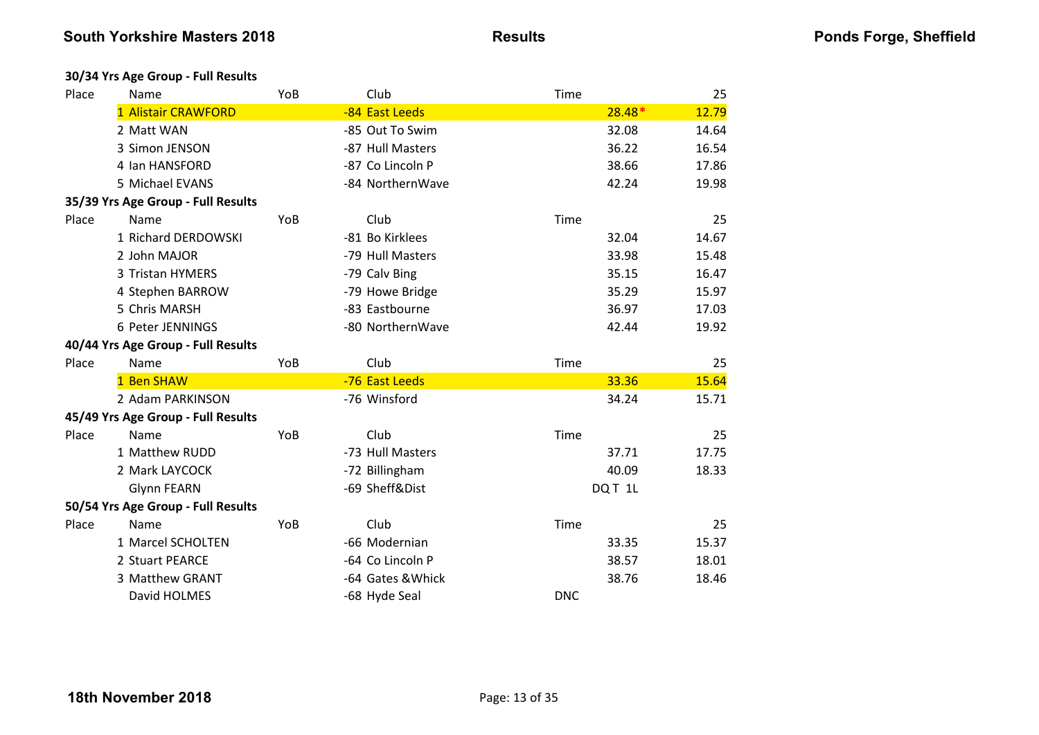| Place | Name                               | YoB | Club              | Time              | 25    |
|-------|------------------------------------|-----|-------------------|-------------------|-------|
|       | 1 Alistair CRAWFORD                |     | -84 East Leeds    | $28.48*$          | 12.79 |
|       | 2 Matt WAN                         |     | -85 Out To Swim   | 32.08             | 14.64 |
|       | 3 Simon JENSON                     |     | -87 Hull Masters  | 36.22             | 16.54 |
|       | 4 Ian HANSFORD                     |     | -87 Co Lincoln P  | 38.66             | 17.86 |
|       | 5 Michael EVANS                    |     | -84 NorthernWave  | 42.24             | 19.98 |
|       | 35/39 Yrs Age Group - Full Results |     |                   |                   |       |
| Place | Name                               | YoB | Club              | Time              | 25    |
|       | 1 Richard DERDOWSKI                |     | -81 Bo Kirklees   | 32.04             | 14.67 |
|       | 2 John MAJOR                       |     | -79 Hull Masters  | 33.98             | 15.48 |
|       | 3 Tristan HYMERS                   |     | -79 Calv Bing     | 35.15             | 16.47 |
|       | 4 Stephen BARROW                   |     | -79 Howe Bridge   | 35.29             | 15.97 |
|       | 5 Chris MARSH                      |     | -83 Eastbourne    | 36.97             | 17.03 |
|       | 6 Peter JENNINGS                   |     | -80 NorthernWave  | 42.44             | 19.92 |
|       | 40/44 Yrs Age Group - Full Results |     |                   |                   |       |
| Place | Name                               | YoB | Club              | Time              | 25    |
|       | 1 Ben SHAW                         |     | -76 East Leeds    | 33.36             | 15.64 |
|       | 2 Adam PARKINSON                   |     | -76 Winsford      | 34.24             | 15.71 |
|       | 45/49 Yrs Age Group - Full Results |     |                   |                   |       |
| Place | Name                               | YoB | Club              | Time              | 25    |
|       | 1 Matthew RUDD                     |     | -73 Hull Masters  | 37.71             | 17.75 |
|       | 2 Mark LAYCOCK                     |     | -72 Billingham    | 40.09             | 18.33 |
|       | <b>Glynn FEARN</b>                 |     | -69 Sheff&Dist    | DQT <sub>1L</sub> |       |
|       | 50/54 Yrs Age Group - Full Results |     |                   |                   |       |
| Place | Name                               | YoB | Club              | Time              | 25    |
|       | 1 Marcel SCHOLTEN                  |     | -66 Modernian     | 33.35             | 15.37 |
|       | 2 Stuart PEARCE                    |     | -64 Co Lincoln P  | 38.57             | 18.01 |
|       | 3 Matthew GRANT                    |     | -64 Gates & Whick | 38.76             | 18.46 |
|       | David HOLMES                       |     | -68 Hyde Seal     | <b>DNC</b>        |       |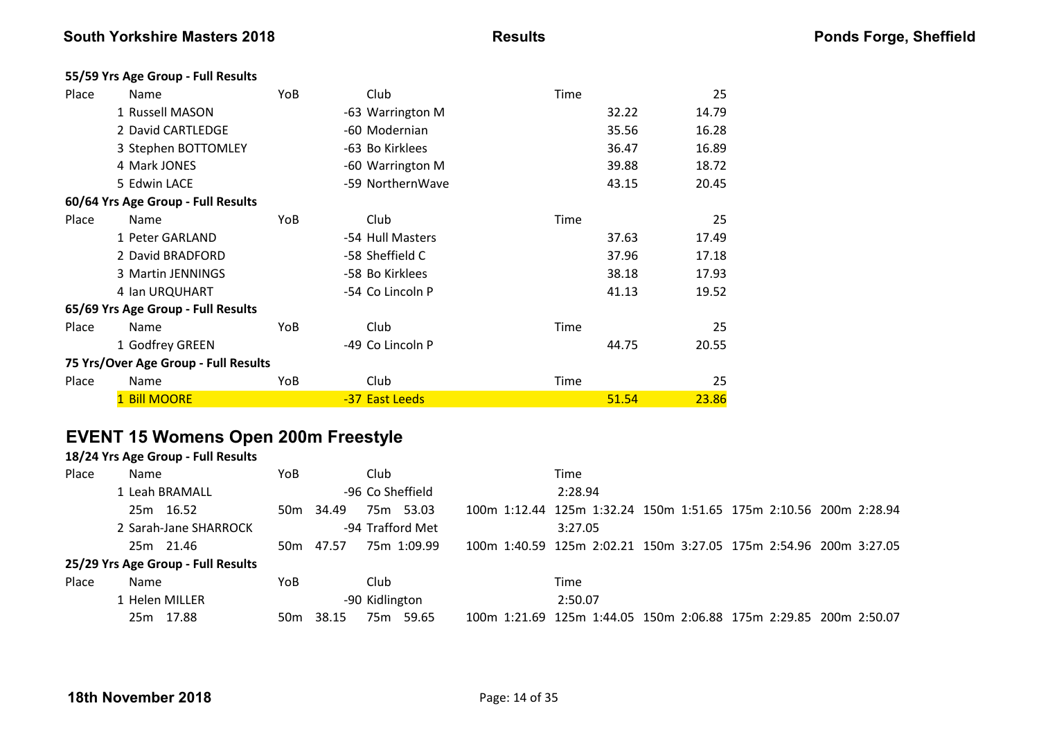### **55/59 Yrs Age Group - Full Results**

| Place | Name                                 | YoB | Club             | <b>Time</b> | 25    |
|-------|--------------------------------------|-----|------------------|-------------|-------|
|       | 1 Russell MASON                      |     | -63 Warrington M | 32.22       | 14.79 |
|       | 2 David CARTLEDGE                    |     | -60 Modernian    | 35.56       | 16.28 |
|       | 3 Stephen BOTTOMLEY                  |     | -63 Bo Kirklees  | 36.47       | 16.89 |
|       | 4 Mark JONES                         |     | -60 Warrington M | 39.88       | 18.72 |
|       | 5 Edwin LACE                         |     | -59 NorthernWave | 43.15       | 20.45 |
|       | 60/64 Yrs Age Group - Full Results   |     |                  |             |       |
| Place | <b>Name</b>                          | YoB | Club             | Time        | 25    |
|       | 1 Peter GARLAND                      |     | -54 Hull Masters | 37.63       | 17.49 |
|       | 2 David BRADFORD                     |     | -58 Sheffield C  | 37.96       | 17.18 |
|       | 3 Martin JENNINGS                    |     | -58 Bo Kirklees  | 38.18       | 17.93 |
|       | 4 Ian URQUHART                       |     | -54 Co Lincoln P | 41.13       | 19.52 |
|       | 65/69 Yrs Age Group - Full Results   |     |                  |             |       |
| Place | <b>Name</b>                          | YoB | Club             | <b>Time</b> | 25    |
|       | 1 Godfrey GREEN                      |     | -49 Co Lincoln P | 44.75       | 20.55 |
|       | 75 Yrs/Over Age Group - Full Results |     |                  |             |       |
| Place | Name                                 | YoB | Club             | Time        | 25    |
|       | 1 Bill MOORE                         |     | -37 East Leeds   | 51.54       | 23.86 |

## **EVENT 15 Womens Open 200m Freestyle**

| Place | Name                               | YoB  |                  | Club |             |         |  | Time                                                             |  |  |  |  |
|-------|------------------------------------|------|------------------|------|-------------|---------|--|------------------------------------------------------------------|--|--|--|--|
|       | 1 Leah BRAMALL                     |      | -96 Co Sheffield |      |             | 2:28.94 |  |                                                                  |  |  |  |  |
|       | 25m 16.52                          |      | 50m 34.49        |      | 75m 53.03   |         |  | 100m 1:12.44 125m 1:32.24 150m 1:51.65 175m 2:10.56 200m 2:28.94 |  |  |  |  |
|       | 2 Sarah-Jane SHARROCK              |      | -94 Trafford Met |      |             | 3:27.05 |  |                                                                  |  |  |  |  |
|       | 25m 21.46                          |      | 50m 47.57        |      | 75m 1:09.99 |         |  | 100m 1:40.59 125m 2:02.21 150m 3:27.05 175m 2:54.96 200m 3:27.05 |  |  |  |  |
|       | 25/29 Yrs Age Group - Full Results |      |                  |      |             |         |  |                                                                  |  |  |  |  |
| Place | Name                               | YoB  |                  | Club |             |         |  | Time                                                             |  |  |  |  |
|       | 1 Helen MILLER                     |      | -90 Kidlington   |      |             | 2:50.07 |  |                                                                  |  |  |  |  |
|       | 25m 17.88                          | .50m | 38.15            | 75m  | 59.65       |         |  | 100m 1:21.69 125m 1:44.05 150m 2:06.88 175m 2:29.85 200m 2:50.07 |  |  |  |  |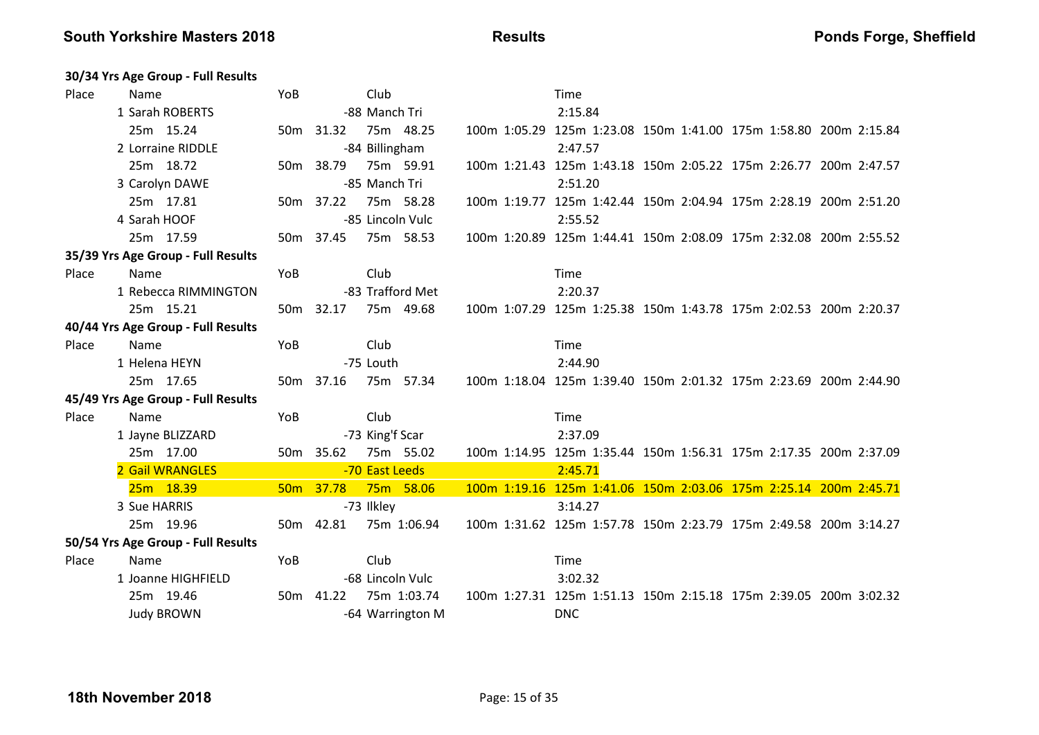| Place | Name                               | YoB |           | Club            |                  |  | Time                                                             |  |  |  |
|-------|------------------------------------|-----|-----------|-----------------|------------------|--|------------------------------------------------------------------|--|--|--|
|       | 1 Sarah ROBERTS                    |     |           | -88 Manch Tri   |                  |  | 2:15.84                                                          |  |  |  |
|       | 25m 15.24                          |     | 50m 31.32 |                 | 75m 48.25        |  | 100m 1:05.29 125m 1:23.08 150m 1:41.00 175m 1:58.80 200m 2:15.84 |  |  |  |
|       | 2 Lorraine RIDDLE                  |     |           | -84 Billingham  |                  |  | 2:47.57                                                          |  |  |  |
|       | 25m 18.72                          |     | 50m 38.79 |                 | 75m 59.91        |  | 100m 1:21.43 125m 1:43.18 150m 2:05.22 175m 2:26.77 200m 2:47.57 |  |  |  |
|       | 3 Carolyn DAWE                     |     |           | -85 Manch Tri   |                  |  | 2:51.20                                                          |  |  |  |
|       | 25m 17.81                          |     | 50m 37.22 |                 | 75m 58.28        |  | 100m 1:19.77 125m 1:42.44 150m 2:04.94 175m 2:28.19 200m 2:51.20 |  |  |  |
|       | 4 Sarah HOOF                       |     |           |                 | -85 Lincoln Vulc |  | 2:55.52                                                          |  |  |  |
|       | 25m 17.59                          |     | 50m 37.45 |                 | 75m 58.53        |  | 100m 1:20.89 125m 1:44.41 150m 2:08.09 175m 2:32.08 200m 2:55.52 |  |  |  |
|       | 35/39 Yrs Age Group - Full Results |     |           |                 |                  |  |                                                                  |  |  |  |
| Place | Name                               | YoB |           | Club            |                  |  | Time                                                             |  |  |  |
|       | 1 Rebecca RIMMINGTON               |     |           |                 | -83 Trafford Met |  | 2:20.37                                                          |  |  |  |
|       | 25m 15.21                          |     | 50m 32.17 |                 | 75m 49.68        |  | 100m 1:07.29 125m 1:25.38 150m 1:43.78 175m 2:02.53 200m 2:20.37 |  |  |  |
|       | 40/44 Yrs Age Group - Full Results |     |           |                 |                  |  |                                                                  |  |  |  |
| Place | Name                               | YoB |           | Club            |                  |  | Time                                                             |  |  |  |
|       | 1 Helena HEYN                      |     |           | -75 Louth       |                  |  | 2:44.90                                                          |  |  |  |
|       | 25m 17.65                          |     | 50m 37.16 |                 | 75m 57.34        |  | 100m 1:18.04 125m 1:39.40 150m 2:01.32 175m 2:23.69 200m 2:44.90 |  |  |  |
|       | 45/49 Yrs Age Group - Full Results |     |           |                 |                  |  |                                                                  |  |  |  |
| Place | Name                               | YoB |           | Club            |                  |  | Time                                                             |  |  |  |
|       | 1 Jayne BLIZZARD                   |     |           | -73 King'f Scar |                  |  | 2:37.09                                                          |  |  |  |
|       | 25m 17.00                          |     | 50m 35.62 |                 | 75m 55.02        |  | 100m 1:14.95 125m 1:35.44 150m 1:56.31 175m 2:17.35 200m 2:37.09 |  |  |  |
|       | 2 Gail WRANGLES                    |     |           | -70 East Leeds  |                  |  | 2:45.71                                                          |  |  |  |
|       | 25m 18.39                          |     | 50m 37.78 |                 | 75m 58.06        |  | 100m 1:19.16 125m 1:41.06 150m 2:03.06 175m 2:25.14 200m 2:45.71 |  |  |  |
|       | 3 Sue HARRIS                       |     |           | -73 Ilkley      |                  |  | 3:14.27                                                          |  |  |  |
|       | 25m 19.96                          |     | 50m 42.81 |                 | 75m 1:06.94      |  | 100m 1:31.62 125m 1:57.78 150m 2:23.79 175m 2:49.58 200m 3:14.27 |  |  |  |
|       | 50/54 Yrs Age Group - Full Results |     |           |                 |                  |  |                                                                  |  |  |  |
| Place | Name                               | YoB |           | Club            |                  |  | Time                                                             |  |  |  |
|       | 1 Joanne HIGHFIELD                 |     |           |                 | -68 Lincoln Vulc |  | 3:02.32                                                          |  |  |  |
|       | 25m 19.46                          |     | 50m 41.22 |                 | 75m 1:03.74      |  | 100m 1:27.31 125m 1:51.13 150m 2:15.18 175m 2:39.05 200m 3:02.32 |  |  |  |
|       | <b>Judy BROWN</b>                  |     |           |                 | -64 Warrington M |  | <b>DNC</b>                                                       |  |  |  |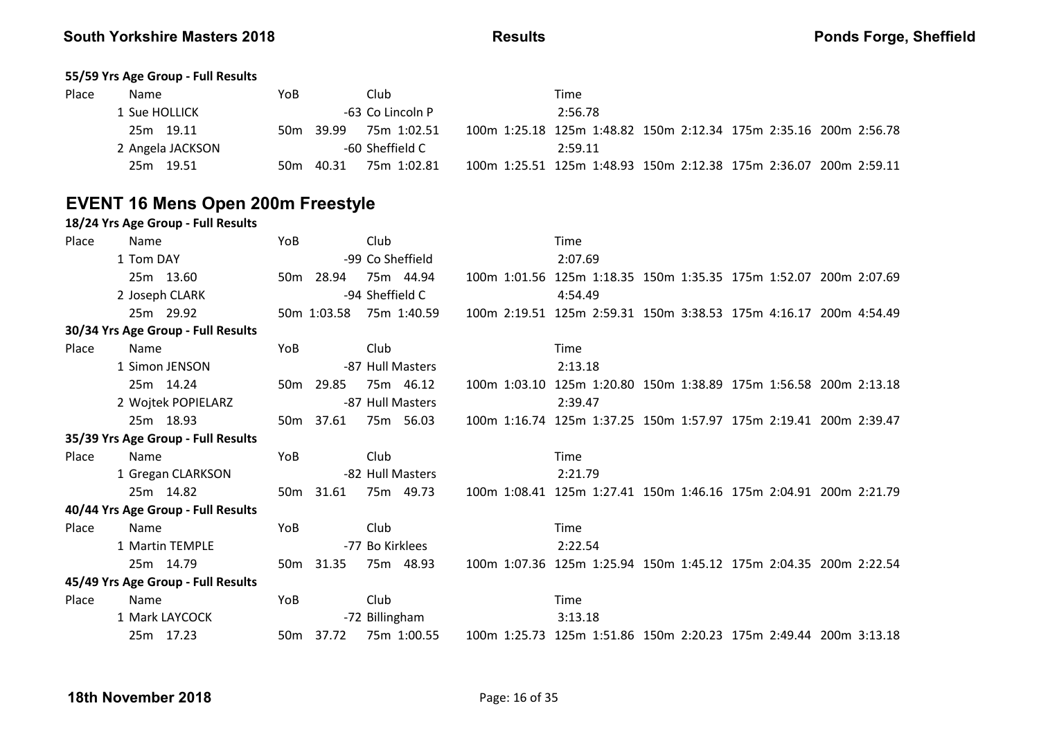#### **55/59 Yrs Age Group - Full Results**

| Place | Name             | YoB |           | Club             | Time    |  |                                                                  |
|-------|------------------|-----|-----------|------------------|---------|--|------------------------------------------------------------------|
|       | 1 Sue HOLLICK    |     |           | -63 Co Lincoln P | 2:56.78 |  |                                                                  |
|       | 25m 19.11        |     | 50m 39.99 | 75m 1:02.51      |         |  | 100m 1:25.18 125m 1:48.82 150m 2:12.34 175m 2:35.16 200m 2:56.78 |
|       | 2 Angela JACKSON |     |           | -60 Sheffield C  | 2:59.11 |  |                                                                  |
|       | 25m 19.51        |     | 50m 40.31 | 75m 1:02.81      |         |  | 100m 1:25.51 125m 1:48.93 150m 2:12.38 175m 2:36.07 200m 2:59.11 |

## **EVENT 16 Mens Open 200m Freestyle**

| Place | Name                               | YoB  |             | Club            |                  |  | Time                                                             |  |  |  |
|-------|------------------------------------|------|-------------|-----------------|------------------|--|------------------------------------------------------------------|--|--|--|
|       | 1 Tom DAY                          |      |             |                 | -99 Co Sheffield |  | 2:07.69                                                          |  |  |  |
|       | 25m 13.60                          |      | 50m 28.94   |                 | 75m 44.94        |  | 100m 1:01.56 125m 1:18.35 150m 1:35.35 175m 1:52.07 200m 2:07.69 |  |  |  |
|       | 2 Joseph CLARK                     |      |             | -94 Sheffield C |                  |  | 4:54.49                                                          |  |  |  |
|       | 25m 29.92                          |      | 50m 1:03.58 |                 | 75m 1:40.59      |  | 100m 2:19.51 125m 2:59.31 150m 3:38.53 175m 4:16.17 200m 4:54.49 |  |  |  |
|       | 30/34 Yrs Age Group - Full Results |      |             |                 |                  |  |                                                                  |  |  |  |
| Place | Name                               | YoB. |             | Club            |                  |  | Time                                                             |  |  |  |
|       | 1 Simon JENSON                     |      |             |                 | -87 Hull Masters |  | 2:13.18                                                          |  |  |  |
|       | 25m 14.24                          |      | 50m 29.85   |                 | 75m 46.12        |  | 100m 1:03.10 125m 1:20.80 150m 1:38.89 175m 1:56.58 200m 2:13.18 |  |  |  |
|       | 2 Wojtek POPIELARZ                 |      |             |                 | -87 Hull Masters |  | 2:39.47                                                          |  |  |  |
|       | 25m 18.93                          |      | 50m 37.61   |                 | 75m 56.03        |  | 100m 1:16.74 125m 1:37.25 150m 1:57.97 175m 2:19.41 200m 2:39.47 |  |  |  |
|       | 35/39 Yrs Age Group - Full Results |      |             |                 |                  |  |                                                                  |  |  |  |
| Place | <b>Name</b>                        | YoB  |             | Club            |                  |  | Time                                                             |  |  |  |
|       | 1 Gregan CLARKSON                  |      |             |                 | -82 Hull Masters |  | 2:21.79                                                          |  |  |  |
|       | 25m 14.82                          |      | 50m 31.61   |                 | 75m 49.73        |  | 100m 1:08.41 125m 1:27.41 150m 1:46.16 175m 2:04.91 200m 2:21.79 |  |  |  |
|       | 40/44 Yrs Age Group - Full Results |      |             |                 |                  |  |                                                                  |  |  |  |
| Place | Name                               | YoB  |             | Club            |                  |  | Time                                                             |  |  |  |
|       | 1 Martin TEMPLE                    |      |             | -77 Bo Kirklees |                  |  | 2:22.54                                                          |  |  |  |
|       | 25m 14.79                          |      | 50m 31.35   |                 | 75m 48.93        |  | 100m 1:07.36 125m 1:25.94 150m 1:45.12 175m 2:04.35 200m 2:22.54 |  |  |  |
|       | 45/49 Yrs Age Group - Full Results |      |             |                 |                  |  |                                                                  |  |  |  |
| Place | Name                               | YoB  |             | Club            |                  |  | Time                                                             |  |  |  |
|       | 1 Mark LAYCOCK                     |      |             | -72 Billingham  |                  |  | 3:13.18                                                          |  |  |  |
|       | 25m 17.23                          |      | 50m 37.72   |                 | 75m 1:00.55      |  | 100m 1:25.73 125m 1:51.86 150m 2:20.23 175m 2:49.44 200m 3:13.18 |  |  |  |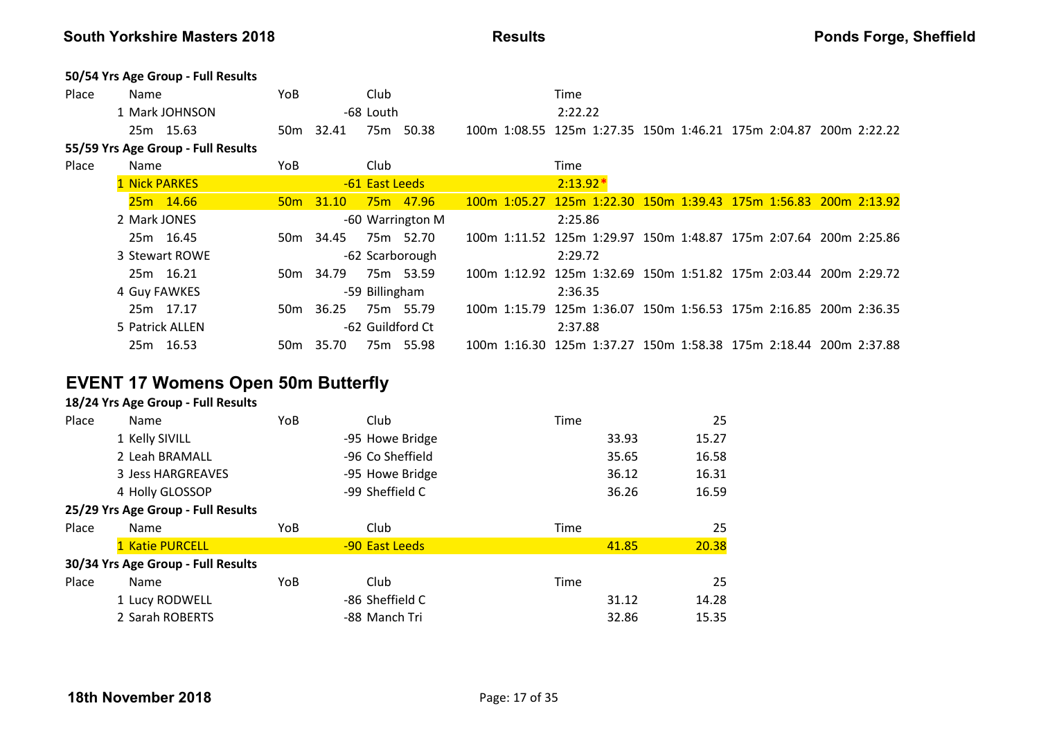### **50/54 Yrs Age Group - Full Results**

| Place | Name           | YoB       | Club         | Time                                                             |  |
|-------|----------------|-----------|--------------|------------------------------------------------------------------|--|
|       | . Mark JOHNSON |           | -68 Louth    | 2:22.22                                                          |  |
|       | 25m<br>15.63   | 50m 32.41 | 50.38<br>75m | 100m 1:08.55 125m 1:27.35 150m 1:46.21 175m 2:04.87 200m 2:22.22 |  |

#### **55/59 Yrs Age Group - Full Results**

| Place | <b>Name</b>          | YoB  |             | Club           |                  |  | Time                                                             |  |  |  |  |  |
|-------|----------------------|------|-------------|----------------|------------------|--|------------------------------------------------------------------|--|--|--|--|--|
|       | <b>1 Nick PARKES</b> |      |             | -61 East Leeds |                  |  | $2:13.92*$                                                       |  |  |  |  |  |
|       | $25m$ 14.66          |      | $50m$ 31.10 |                | 75m 47.96        |  | 100m 1:05.27 125m 1:22.30 150m 1:39.43 175m 1:56.83 200m 2:13.92 |  |  |  |  |  |
|       | 2 Mark JONES         |      |             |                | -60 Warrington M |  | 2:25.86                                                          |  |  |  |  |  |
|       | 25m 16.45            |      | 50m 34.45   |                | 75m 52.70        |  | 100m 1:11.52 125m 1:29.97 150m 1:48.87 175m 2:07.64 200m 2:25.86 |  |  |  |  |  |
|       | 3 Stewart ROWE       |      |             |                | -62 Scarborough  |  | 2:29.72                                                          |  |  |  |  |  |
|       | 25m 16.21            | 50m  | 34.79       |                | 75m 53.59        |  | 100m 1:12.92 125m 1:32.69 150m 1:51.82 175m 2:03.44 200m 2:29.72 |  |  |  |  |  |
|       | 4 Guy FAWKES         |      |             | -59 Billingham |                  |  | 2:36.35                                                          |  |  |  |  |  |
|       | 25m 17.17            | 50m  | 36.25       |                | 75m 55.79        |  | 100m 1:15.79 125m 1:36.07 150m 1:56.53 175m 2:16.85 200m 2:36.35 |  |  |  |  |  |
|       | 5 Patrick ALLEN      |      |             |                | -62 Guildford Ct |  | 2:37.88                                                          |  |  |  |  |  |
|       | 25m 16.53            | .50m | 35.70       |                | 75m 55.98        |  | 100m 1:16.30 125m 1:37.27 150m 1:58.38 175m 2:18.44 200m 2:37.88 |  |  |  |  |  |

## **EVENT 17 Womens Open 50m Butterfly**

| Place | Name                               | YoB | Club             | <b>Time</b> | 25    |
|-------|------------------------------------|-----|------------------|-------------|-------|
|       | 1 Kelly SIVILL                     |     | -95 Howe Bridge  | 33.93       | 15.27 |
|       | 2 Leah BRAMALL                     |     | -96 Co Sheffield | 35.65       | 16.58 |
|       | 3 Jess HARGREAVES                  |     | -95 Howe Bridge  | 36.12       | 16.31 |
|       | 4 Holly GLOSSOP                    |     | -99 Sheffield C  | 36.26       | 16.59 |
|       | 25/29 Yrs Age Group - Full Results |     |                  |             |       |
| Place | Name                               | YoB | Club             | Time        | 25    |
|       | 1 Katie PURCELL                    |     | -90 East Leeds   | 41.85       | 20.38 |
|       | 30/34 Yrs Age Group - Full Results |     |                  |             |       |
| Place | Name                               | YoB | Club             | Time        | 25    |
|       | 1 Lucy RODWELL                     |     | -86 Sheffield C  | 31.12       | 14.28 |
|       | 2 Sarah ROBERTS                    |     | -88 Manch Tri    | 32.86       | 15.35 |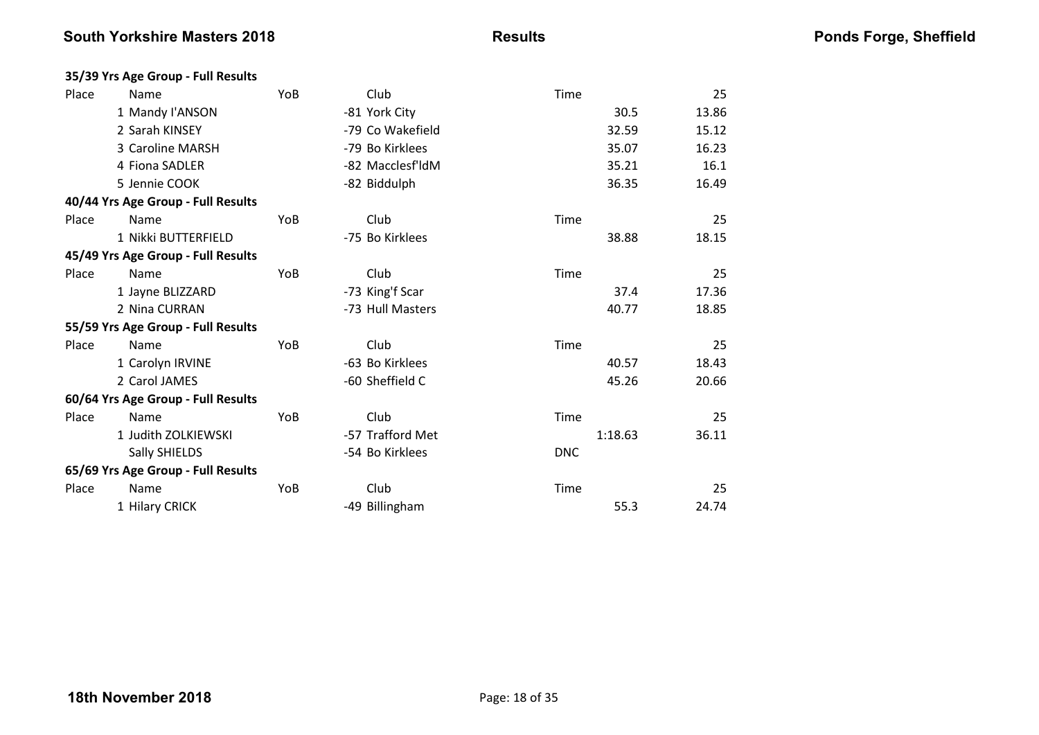| Place | Name                               | YoB | Club             | Time       |         | 25    |
|-------|------------------------------------|-----|------------------|------------|---------|-------|
|       | 1 Mandy I'ANSON                    |     | -81 York City    |            | 30.5    | 13.86 |
|       | 2 Sarah KINSEY                     |     | -79 Co Wakefield |            | 32.59   | 15.12 |
|       | 3 Caroline MARSH                   |     | -79 Bo Kirklees  |            | 35.07   | 16.23 |
|       | 4 Fiona SADLER                     |     | -82 Macclesf'ldM |            | 35.21   | 16.1  |
|       | 5 Jennie COOK                      |     | -82 Biddulph     |            | 36.35   | 16.49 |
|       | 40/44 Yrs Age Group - Full Results |     |                  |            |         |       |
| Place | Name                               | YoB | Club             | Time       |         | 25    |
|       | 1 Nikki BUTTERFIELD                |     | -75 Bo Kirklees  |            | 38.88   | 18.15 |
|       | 45/49 Yrs Age Group - Full Results |     |                  |            |         |       |
| Place | Name                               | YoB | Club             | Time       |         | 25    |
|       | 1 Jayne BLIZZARD                   |     | -73 King'f Scar  |            | 37.4    | 17.36 |
|       | 2 Nina CURRAN                      |     | -73 Hull Masters |            | 40.77   | 18.85 |
|       | 55/59 Yrs Age Group - Full Results |     |                  |            |         |       |
| Place | Name                               | YoB | Club             | Time       |         | 25    |
|       | 1 Carolyn IRVINE                   |     | -63 Bo Kirklees  |            | 40.57   | 18.43 |
|       | 2 Carol JAMES                      |     | -60 Sheffield C  |            | 45.26   | 20.66 |
|       | 60/64 Yrs Age Group - Full Results |     |                  |            |         |       |
| Place | Name                               | YoB | Club             | Time       |         | 25    |
|       | 1 Judith ZOLKIEWSKI                |     | -57 Trafford Met |            | 1:18.63 | 36.11 |
|       | Sally SHIELDS                      |     | -54 Bo Kirklees  | <b>DNC</b> |         |       |
|       | 65/69 Yrs Age Group - Full Results |     |                  |            |         |       |
| Place | Name                               | YoB | Club             | Time       |         | 25    |
|       | 1 Hilary CRICK                     |     | -49 Billingham   |            | 55.3    | 24.74 |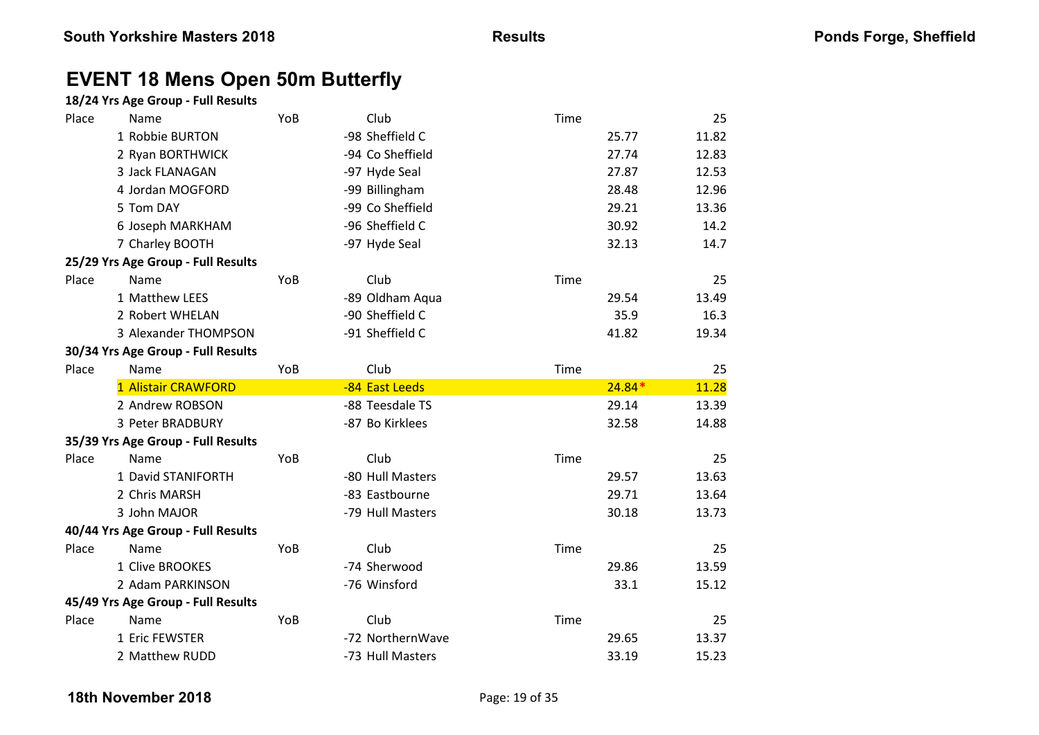## **EVENT 18 Mens Open 50m Butterfly**

| Place | Name                               | YoB | Club             | Time |          | 25    |
|-------|------------------------------------|-----|------------------|------|----------|-------|
|       | 1 Robbie BURTON                    |     | -98 Sheffield C  |      | 25.77    | 11.82 |
|       | 2 Ryan BORTHWICK                   |     | -94 Co Sheffield |      | 27.74    | 12.83 |
|       | 3 Jack FLANAGAN                    |     | -97 Hyde Seal    |      | 27.87    | 12.53 |
|       | 4 Jordan MOGFORD                   |     | -99 Billingham   |      | 28.48    | 12.96 |
|       | 5 Tom DAY                          |     | -99 Co Sheffield |      | 29.21    | 13.36 |
|       | 6 Joseph MARKHAM                   |     | -96 Sheffield C  |      | 30.92    | 14.2  |
|       | 7 Charley BOOTH                    |     | -97 Hyde Seal    |      | 32.13    | 14.7  |
|       | 25/29 Yrs Age Group - Full Results |     |                  |      |          |       |
| Place | Name                               | YoB | Club             | Time |          | 25    |
|       | 1 Matthew LEES                     |     | -89 Oldham Aqua  |      | 29.54    | 13.49 |
|       | 2 Robert WHELAN                    |     | -90 Sheffield C  |      | 35.9     | 16.3  |
|       | 3 Alexander THOMPSON               |     | -91 Sheffield C  |      | 41.82    | 19.34 |
|       | 30/34 Yrs Age Group - Full Results |     |                  |      |          |       |
| Place | Name                               | YoB | Club             | Time |          | 25    |
|       | 1 Alistair CRAWFORD                |     | -84 East Leeds   |      | $24.84*$ | 11.28 |
|       | 2 Andrew ROBSON                    |     | -88 Teesdale TS  |      | 29.14    | 13.39 |
|       | 3 Peter BRADBURY                   |     | -87 Bo Kirklees  |      | 32.58    | 14.88 |
|       | 35/39 Yrs Age Group - Full Results |     |                  |      |          |       |
| Place | Name                               | YoB | Club             | Time |          | 25    |
|       | 1 David STANIFORTH                 |     | -80 Hull Masters |      | 29.57    | 13.63 |
|       | 2 Chris MARSH                      |     | -83 Eastbourne   |      | 29.71    | 13.64 |
|       | 3 John MAJOR                       |     | -79 Hull Masters |      | 30.18    | 13.73 |
|       | 40/44 Yrs Age Group - Full Results |     |                  |      |          |       |
| Place | Name                               | YoB | Club             | Time |          | 25    |
|       | 1 Clive BROOKES                    |     | -74 Sherwood     |      | 29.86    | 13.59 |
|       | 2 Adam PARKINSON                   |     | -76 Winsford     |      | 33.1     | 15.12 |
|       | 45/49 Yrs Age Group - Full Results |     |                  |      |          |       |
| Place | Name                               | YoB | Club             | Time |          | 25    |
|       | 1 Eric FEWSTER                     |     | -72 NorthernWave |      | 29.65    | 13.37 |
|       | 2 Matthew RUDD                     |     | -73 Hull Masters |      | 33.19    | 15.23 |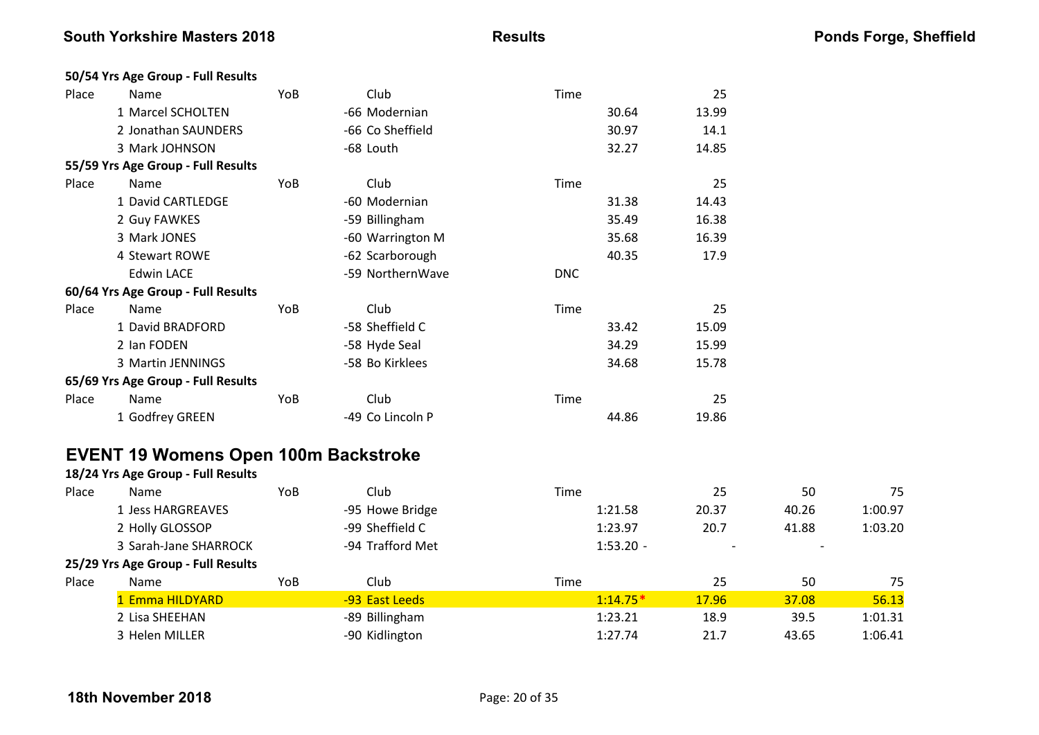### **50/54 Yrs Age Group - Full Results**

| Place | Name                               | YoB | Club             | Time       |       | 25    |
|-------|------------------------------------|-----|------------------|------------|-------|-------|
|       | 1 Marcel SCHOLTEN                  |     | -66 Modernian    |            | 30.64 | 13.99 |
|       | 2 Jonathan SAUNDERS                |     | -66 Co Sheffield |            | 30.97 | 14.1  |
|       | 3 Mark JOHNSON                     |     | -68 Louth        |            | 32.27 | 14.85 |
|       | 55/59 Yrs Age Group - Full Results |     |                  |            |       |       |
| Place | Name                               | YoB | Club             | Time       |       | 25    |
|       | 1 David CARTLEDGE                  |     | -60 Modernian    |            | 31.38 | 14.43 |
|       | 2 Guy FAWKES                       |     | -59 Billingham   |            | 35.49 | 16.38 |
|       | 3 Mark JONES                       |     | -60 Warrington M |            | 35.68 | 16.39 |
|       | 4 Stewart ROWE                     |     | -62 Scarborough  |            | 40.35 | 17.9  |
|       | <b>Edwin LACE</b>                  |     | -59 NorthernWave | <b>DNC</b> |       |       |
|       | 60/64 Yrs Age Group - Full Results |     |                  |            |       |       |
| Place | Name                               | YoB | Club             | Time       |       | 25    |
|       | 1 David BRADFORD                   |     | -58 Sheffield C  |            | 33.42 | 15.09 |
|       | 2 Ian FODEN                        |     | -58 Hyde Seal    |            | 34.29 | 15.99 |
|       | 3 Martin JENNINGS                  |     | -58 Bo Kirklees  |            | 34.68 | 15.78 |
|       | 65/69 Yrs Age Group - Full Results |     |                  |            |       |       |
| Place | Name                               | YoB | Club             | Time       |       | 25    |
|       | 1 Godfrey GREEN                    |     | -49 Co Lincoln P |            | 44.86 | 19.86 |
|       |                                    |     |                  |            |       |       |

## **EVENT 19 Womens Open 100m Backstroke**

|       | 18/24 Yrs Age Group - Full Results |     |                  |             |                          |       |         |
|-------|------------------------------------|-----|------------------|-------------|--------------------------|-------|---------|
| Place | Name                               | YoB | Club             | <b>Time</b> | 25                       | 50    | 75      |
|       | 1 Jess HARGREAVES                  |     | -95 Howe Bridge  | 1:21.58     | 20.37                    | 40.26 | 1:00.97 |
|       | 2 Holly GLOSSOP                    |     | -99 Sheffield C  | 1:23.97     | 20.7                     | 41.88 | 1:03.20 |
|       | 3 Sarah-Jane SHARROCK              |     | -94 Trafford Met | $1:53.20 -$ | $\overline{\phantom{0}}$ |       |         |
|       | 25/29 Yrs Age Group - Full Results |     |                  |             |                          |       |         |
| Place | Name                               | YoB | Club             | Time        | 25                       | 50    | 75      |
|       | 1 Emma HILDYARD                    |     | -93 East Leeds   | $1:14.75*$  | 17.96                    | 37.08 | 56.13   |
|       | 2 Lisa SHEEHAN                     |     | -89 Billingham   | 1:23.21     | 18.9                     | 39.5  | 1:01.31 |
|       | 3 Helen MILLER                     |     | -90 Kidlington   | 1:27.74     | 21.7                     | 43.65 | 1:06.41 |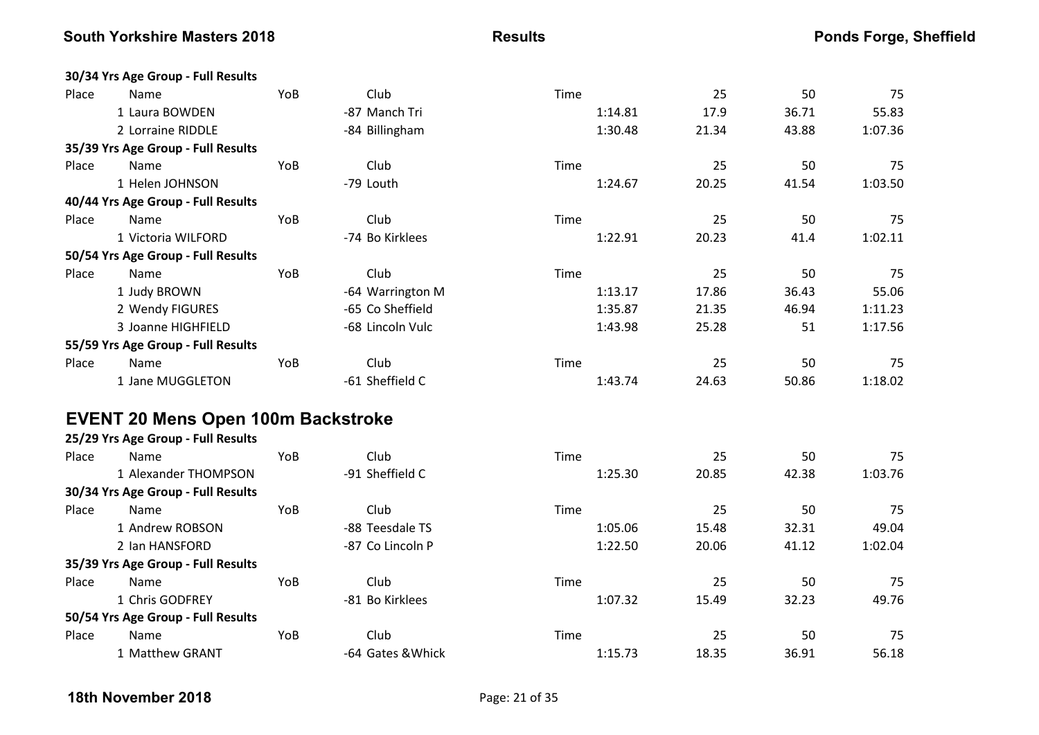|       | 30/34 Yrs Age Group - Full Results        |     |                   |         |       |       |         |
|-------|-------------------------------------------|-----|-------------------|---------|-------|-------|---------|
| Place | Name                                      | YoB | Club              | Time    | 25    | 50    | 75      |
|       | 1 Laura BOWDEN                            |     | -87 Manch Tri     | 1:14.81 | 17.9  | 36.71 | 55.83   |
|       | 2 Lorraine RIDDLE                         |     | -84 Billingham    | 1:30.48 | 21.34 | 43.88 | 1:07.36 |
|       | 35/39 Yrs Age Group - Full Results        |     |                   |         |       |       |         |
| Place | Name                                      | YoB | Club              | Time    | 25    | 50    | 75      |
|       | 1 Helen JOHNSON                           |     | -79 Louth         | 1:24.67 | 20.25 | 41.54 | 1:03.50 |
|       | 40/44 Yrs Age Group - Full Results        |     |                   |         |       |       |         |
| Place | Name                                      | YoB | Club              | Time    | 25    | 50    | 75      |
|       | 1 Victoria WILFORD                        |     | -74 Bo Kirklees   | 1:22.91 | 20.23 | 41.4  | 1:02.11 |
|       | 50/54 Yrs Age Group - Full Results        |     |                   |         |       |       |         |
| Place | Name                                      | YoB | Club              | Time    | 25    | 50    | 75      |
|       | 1 Judy BROWN                              |     | -64 Warrington M  | 1:13.17 | 17.86 | 36.43 | 55.06   |
|       | 2 Wendy FIGURES                           |     | -65 Co Sheffield  | 1:35.87 | 21.35 | 46.94 | 1:11.23 |
|       | 3 Joanne HIGHFIELD                        |     | -68 Lincoln Vulc  | 1:43.98 | 25.28 | 51    | 1:17.56 |
|       | 55/59 Yrs Age Group - Full Results        |     |                   |         |       |       |         |
| Place | Name                                      | YoB | Club              | Time    | 25    | 50    | 75      |
|       | 1 Jane MUGGLETON                          |     | -61 Sheffield C   | 1:43.74 | 24.63 | 50.86 | 1:18.02 |
|       | <b>EVENT 20 Mens Open 100m Backstroke</b> |     |                   |         |       |       |         |
|       | 25/29 Yrs Age Group - Full Results        |     |                   |         |       |       |         |
| Place | Name                                      | YoB | Club              | Time    | 25    | 50    | 75      |
|       | 1 Alexander THOMPSON                      |     | -91 Sheffield C   | 1:25.30 | 20.85 | 42.38 | 1:03.76 |
|       | 30/34 Yrs Age Group - Full Results        |     |                   |         |       |       |         |
| Place | <b>Name</b>                               | YoB | Club              | Time    | 25    | 50    | 75      |
|       | 1 Andrew ROBSON                           |     | -88 Teesdale TS   | 1:05.06 | 15.48 | 32.31 | 49.04   |
|       | 2 Ian HANSFORD                            |     | -87 Co Lincoln P  | 1:22.50 | 20.06 | 41.12 | 1:02.04 |
|       | 35/39 Yrs Age Group - Full Results        |     |                   |         |       |       |         |
| Place | Name                                      | YoB | Club              | Time    | 25    | 50    | 75      |
|       | 1 Chris GODFREY                           |     | -81 Bo Kirklees   | 1:07.32 | 15.49 | 32.23 | 49.76   |
|       | 50/54 Yrs Age Group - Full Results        |     |                   |         |       |       |         |
| Place | Name                                      | YoB | Club              | Time    | 25    | 50    | 75      |
|       | 1 Matthew GRANT                           |     | -64 Gates & Whick | 1:15.73 | 18.35 | 36.91 | 56.18   |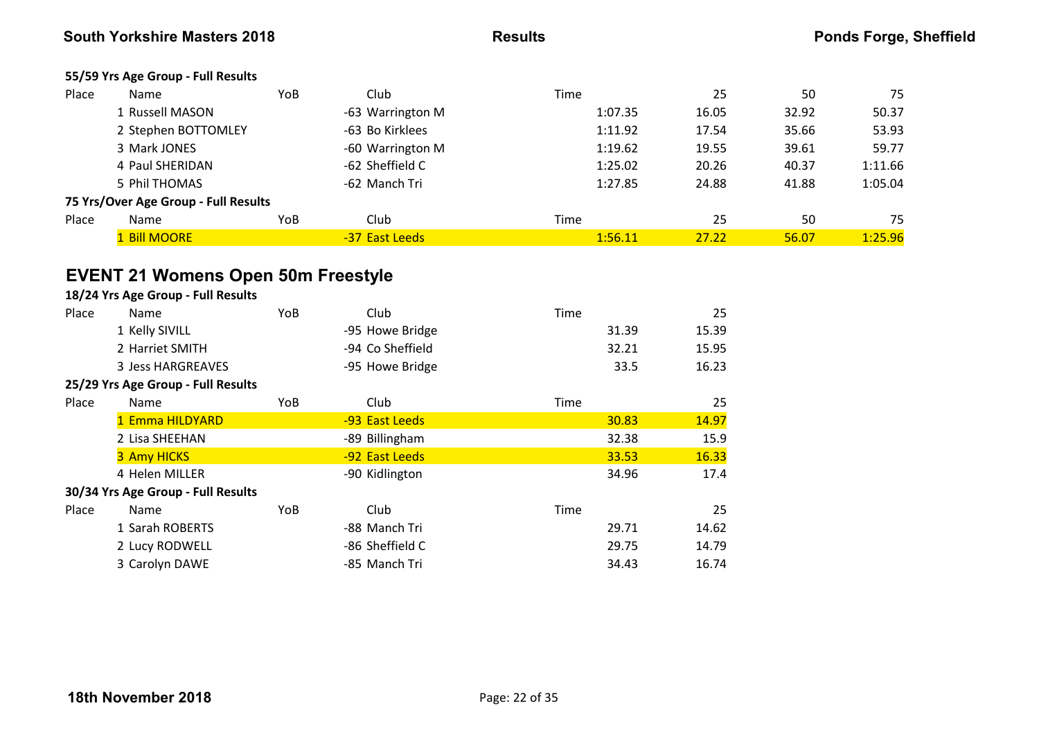### **55/59 Yrs Age Group - Full Results**

| Place | <b>Name</b>                          | YoB | <b>Club</b>      | Time    | 25    | 50    | 75      |
|-------|--------------------------------------|-----|------------------|---------|-------|-------|---------|
|       | 1 Russell MASON                      |     | -63 Warrington M | 1:07.35 | 16.05 | 32.92 | 50.37   |
|       | 2 Stephen BOTTOMLEY                  |     | -63 Bo Kirklees  | 1:11.92 | 17.54 | 35.66 | 53.93   |
|       | 3 Mark JONES                         |     | -60 Warrington M | 1:19.62 | 19.55 | 39.61 | 59.77   |
|       | 4 Paul SHERIDAN                      |     | -62 Sheffield C  | 1:25.02 | 20.26 | 40.37 | 1:11.66 |
|       | 5 Phil THOMAS                        |     | -62 Manch Tri    | 1:27.85 | 24.88 | 41.88 | 1:05.04 |
|       | 75 Yrs/Over Age Group - Full Results |     |                  |         |       |       |         |
| Place | <b>Name</b>                          | YoB | Club             | Time    | 25    | 50    | 75      |
|       | 1 Bill MOORE                         |     | -37 East Leeds   | 1:56.11 | 27.22 | 56.07 | 1:25.96 |

## **EVENT 21 Womens Open 50m Freestyle**

| Place | Name                               | YoB | Club             | <b>Time</b> |       | 25    |
|-------|------------------------------------|-----|------------------|-------------|-------|-------|
|       | 1 Kelly SIVILL                     |     | -95 Howe Bridge  |             | 31.39 | 15.39 |
|       | 2 Harriet SMITH                    |     | -94 Co Sheffield |             | 32.21 | 15.95 |
|       | 3 Jess HARGREAVES                  |     | -95 Howe Bridge  |             | 33.5  | 16.23 |
|       | 25/29 Yrs Age Group - Full Results |     |                  |             |       |       |
| Place | <b>Name</b>                        | YoB | Club             | <b>Time</b> |       | 25    |
|       | 1 Emma HILDYARD                    |     | -93 East Leeds   |             | 30.83 | 14.97 |
|       | 2 Lisa SHEEHAN                     |     | -89 Billingham   |             | 32.38 | 15.9  |
|       | 3 Amy HICKS                        |     | -92 East Leeds   |             | 33.53 | 16.33 |
|       | 4 Helen MILLER                     |     | -90 Kidlington   |             | 34.96 | 17.4  |
|       | 30/34 Yrs Age Group - Full Results |     |                  |             |       |       |
| Place | <b>Name</b>                        | YoB | Club             | <b>Time</b> |       | 25    |
|       | 1 Sarah ROBERTS                    |     | -88 Manch Tri    |             | 29.71 | 14.62 |
|       | 2 Lucy RODWELL                     |     | -86 Sheffield C  |             | 29.75 | 14.79 |
|       | 3 Carolyn DAWE                     |     | -85 Manch Tri    |             | 34.43 | 16.74 |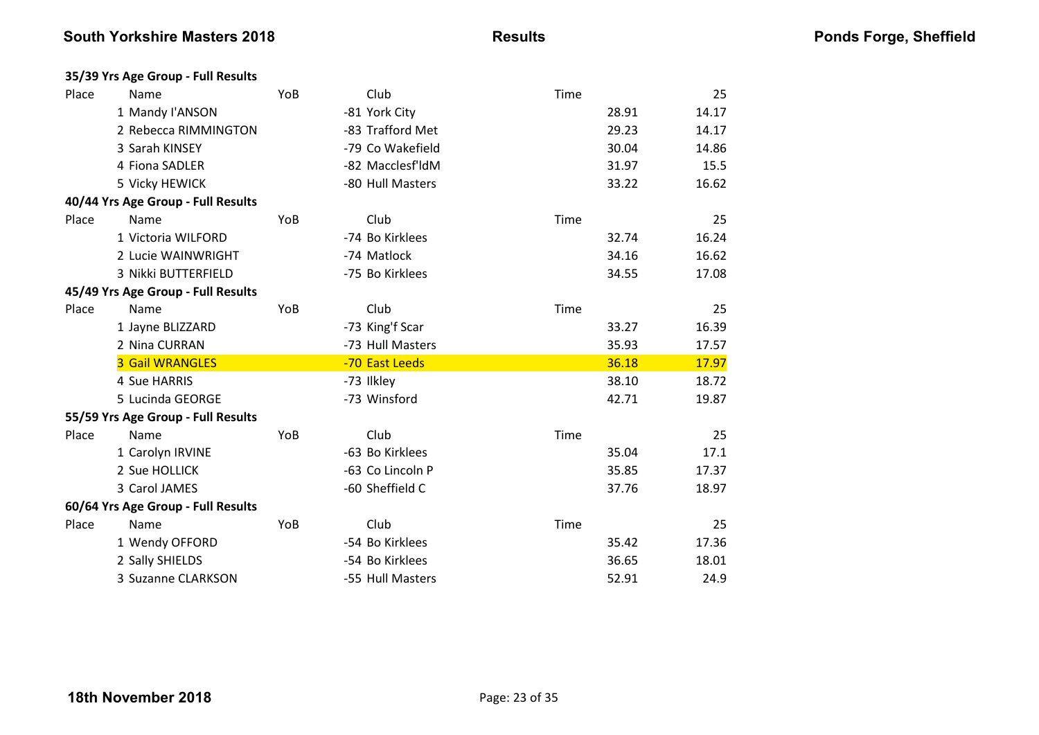| Place | Name                               | YoB | Club             | Time  | 25    |
|-------|------------------------------------|-----|------------------|-------|-------|
|       | 1 Mandy I'ANSON                    |     | -81 York City    | 28.91 | 14.17 |
|       | 2 Rebecca RIMMINGTON               |     | -83 Trafford Met | 29.23 | 14.17 |
|       | 3 Sarah KINSEY                     |     | -79 Co Wakefield | 30.04 | 14.86 |
|       | 4 Fiona SADLER                     |     | -82 Macclesf'ldM | 31.97 | 15.5  |
|       | 5 Vicky HEWICK                     |     | -80 Hull Masters | 33.22 | 16.62 |
|       | 40/44 Yrs Age Group - Full Results |     |                  |       |       |
| Place | Name                               | YoB | Club             | Time  | 25    |
|       | 1 Victoria WILFORD                 |     | -74 Bo Kirklees  | 32.74 | 16.24 |
|       | 2 Lucie WAINWRIGHT                 |     | -74 Matlock      | 34.16 | 16.62 |
|       | 3 Nikki BUTTERFIELD                |     | -75 Bo Kirklees  | 34.55 | 17.08 |
|       | 45/49 Yrs Age Group - Full Results |     |                  |       |       |
| Place | Name                               | YoB | Club             | Time  | 25    |
|       | 1 Jayne BLIZZARD                   |     | -73 King'f Scar  | 33.27 | 16.39 |
|       | 2 Nina CURRAN                      |     | -73 Hull Masters | 35.93 | 17.57 |
|       | <b>3 Gail WRANGLES</b>             |     | -70 East Leeds   | 36.18 | 17.97 |
|       | 4 Sue HARRIS                       |     | -73 Ilkley       | 38.10 | 18.72 |
|       | 5 Lucinda GEORGE                   |     | -73 Winsford     | 42.71 | 19.87 |
|       | 55/59 Yrs Age Group - Full Results |     |                  |       |       |
| Place | Name                               | YoB | Club             | Time  | 25    |
|       | 1 Carolyn IRVINE                   |     | -63 Bo Kirklees  | 35.04 | 17.1  |
|       | 2 Sue HOLLICK                      |     | -63 Co Lincoln P | 35.85 | 17.37 |
|       | 3 Carol JAMES                      |     | -60 Sheffield C  | 37.76 | 18.97 |
|       | 60/64 Yrs Age Group - Full Results |     |                  |       |       |
| Place | Name                               | YoB | Club             | Time  | 25    |
|       | 1 Wendy OFFORD                     |     | -54 Bo Kirklees  | 35.42 | 17.36 |
|       | 2 Sally SHIELDS                    |     | -54 Bo Kirklees  | 36.65 | 18.01 |
|       | 3 Suzanne CLARKSON                 |     | -55 Hull Masters | 52.91 | 24.9  |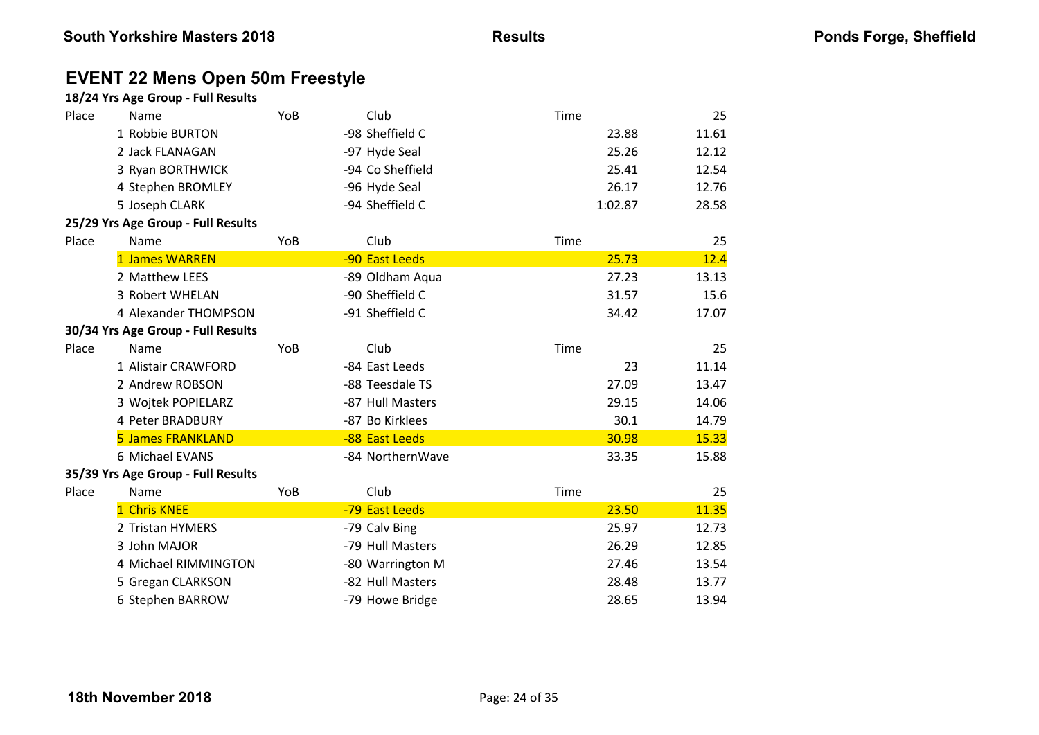## **EVENT 22 Mens Open 50m Freestyle**

| Place | Name                               | YoB | Club             | Time    | 25    |
|-------|------------------------------------|-----|------------------|---------|-------|
|       | 1 Robbie BURTON                    |     | -98 Sheffield C  | 23.88   | 11.61 |
|       | 2 Jack FLANAGAN                    |     | -97 Hyde Seal    | 25.26   | 12.12 |
|       | 3 Ryan BORTHWICK                   |     | -94 Co Sheffield | 25.41   | 12.54 |
|       | 4 Stephen BROMLEY                  |     | -96 Hyde Seal    | 26.17   | 12.76 |
|       | 5 Joseph CLARK                     |     | -94 Sheffield C  | 1:02.87 | 28.58 |
|       | 25/29 Yrs Age Group - Full Results |     |                  |         |       |
| Place | Name                               | YoB | Club             | Time    | 25    |
|       | 1 James WARREN                     |     | -90 East Leeds   | 25.73   | 12.4  |
|       | 2 Matthew LEES                     |     | -89 Oldham Aqua  | 27.23   | 13.13 |
|       | 3 Robert WHELAN                    |     | -90 Sheffield C  | 31.57   | 15.6  |
|       | 4 Alexander THOMPSON               |     | -91 Sheffield C  | 34.42   | 17.07 |
|       | 30/34 Yrs Age Group - Full Results |     |                  |         |       |
| Place | Name                               | YoB | Club             | Time    | 25    |
|       | 1 Alistair CRAWFORD                |     | -84 East Leeds   | 23      | 11.14 |
|       | 2 Andrew ROBSON                    |     | -88 Teesdale TS  | 27.09   | 13.47 |
|       | 3 Wojtek POPIELARZ                 |     | -87 Hull Masters | 29.15   | 14.06 |
|       | 4 Peter BRADBURY                   |     | -87 Bo Kirklees  | 30.1    | 14.79 |
|       | <b>5 James FRANKLAND</b>           |     | -88 East Leeds   | 30.98   | 15.33 |
|       | 6 Michael EVANS                    |     | -84 NorthernWave | 33.35   | 15.88 |
|       | 35/39 Yrs Age Group - Full Results |     |                  |         |       |
| Place | Name                               | YoB | Club             | Time    | 25    |
|       | 1 Chris KNEE                       |     | -79 East Leeds   | 23.50   | 11.35 |
|       | 2 Tristan HYMERS                   |     | -79 Calv Bing    | 25.97   | 12.73 |
|       | 3 John MAJOR                       |     | -79 Hull Masters | 26.29   | 12.85 |
|       | 4 Michael RIMMINGTON               |     | -80 Warrington M | 27.46   | 13.54 |
|       | 5 Gregan CLARKSON                  |     | -82 Hull Masters | 28.48   | 13.77 |
|       | 6 Stephen BARROW                   |     | -79 Howe Bridge  | 28.65   | 13.94 |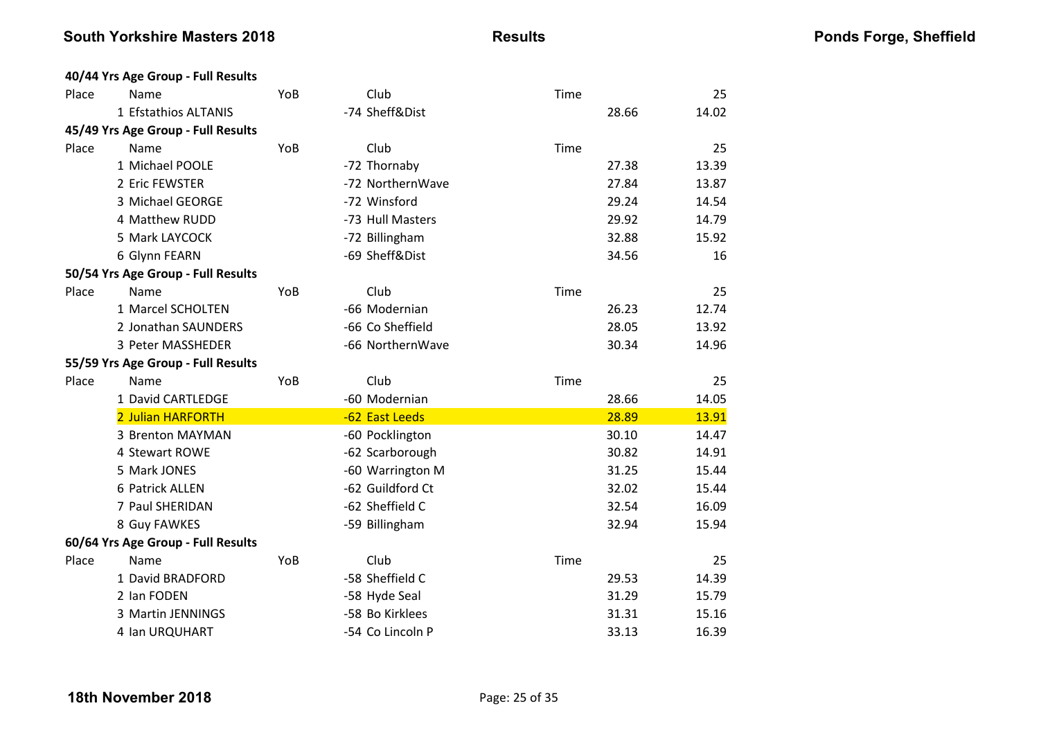| Place | Name                               | YoB | Club             | Time  | 25    |
|-------|------------------------------------|-----|------------------|-------|-------|
|       | 1 Efstathios ALTANIS               |     | -74 Sheff&Dist   | 28.66 | 14.02 |
|       | 45/49 Yrs Age Group - Full Results |     |                  |       |       |
| Place | Name                               | YoB | Club             | Time  | 25    |
|       | 1 Michael POOLE                    |     | -72 Thornaby     | 27.38 | 13.39 |
|       | 2 Eric FEWSTER                     |     | -72 NorthernWave | 27.84 | 13.87 |
|       | 3 Michael GEORGE                   |     | -72 Winsford     | 29.24 | 14.54 |
|       | 4 Matthew RUDD                     |     | -73 Hull Masters | 29.92 | 14.79 |
|       | 5 Mark LAYCOCK                     |     | -72 Billingham   | 32.88 | 15.92 |
|       | 6 Glynn FEARN                      |     | -69 Sheff&Dist   | 34.56 | 16    |
|       | 50/54 Yrs Age Group - Full Results |     |                  |       |       |
| Place | Name                               | YoB | Club             | Time  | 25    |
|       | 1 Marcel SCHOLTEN                  |     | -66 Modernian    | 26.23 | 12.74 |
|       | 2 Jonathan SAUNDERS                |     | -66 Co Sheffield | 28.05 | 13.92 |
|       | 3 Peter MASSHEDER                  |     | -66 NorthernWave | 30.34 | 14.96 |
|       | 55/59 Yrs Age Group - Full Results |     |                  |       |       |
| Place | Name                               | YoB | Club             | Time  | 25    |
|       | 1 David CARTLEDGE                  |     | -60 Modernian    | 28.66 | 14.05 |
|       | 2 Julian HARFORTH                  |     | -62 East Leeds   | 28.89 | 13.91 |
|       | 3 Brenton MAYMAN                   |     | -60 Pocklington  | 30.10 | 14.47 |
|       | 4 Stewart ROWE                     |     | -62 Scarborough  | 30.82 | 14.91 |
|       | 5 Mark JONES                       |     | -60 Warrington M | 31.25 | 15.44 |
|       | 6 Patrick ALLEN                    |     | -62 Guildford Ct | 32.02 | 15.44 |
|       | 7 Paul SHERIDAN                    |     | -62 Sheffield C  | 32.54 | 16.09 |
|       | 8 Guy FAWKES                       |     | -59 Billingham   | 32.94 | 15.94 |
|       | 60/64 Yrs Age Group - Full Results |     |                  |       |       |
| Place | Name                               | YoB | Club             | Time  | 25    |
|       | 1 David BRADFORD                   |     | -58 Sheffield C  | 29.53 | 14.39 |
|       | 2 Ian FODEN                        |     | -58 Hyde Seal    | 31.29 | 15.79 |
|       | 3 Martin JENNINGS                  |     | -58 Bo Kirklees  | 31.31 | 15.16 |
|       | 4 Ian URQUHART                     |     | -54 Co Lincoln P | 33.13 | 16.39 |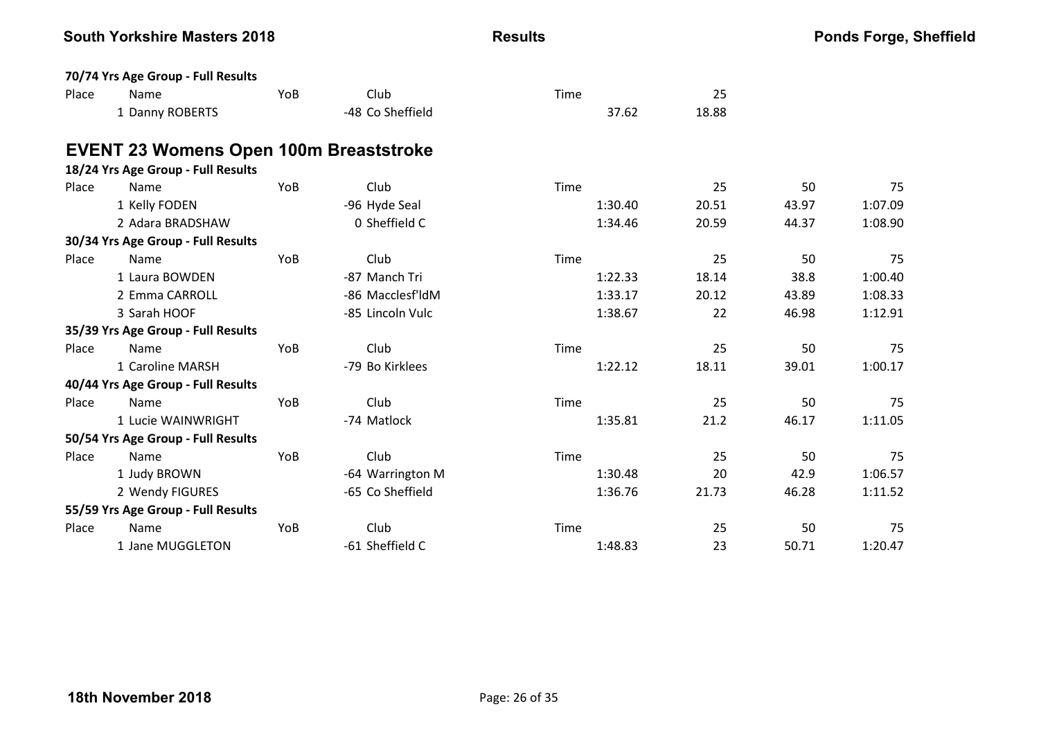|  | <b>South Yorkshire Masters 2018</b> |  |  |
|--|-------------------------------------|--|--|
|--|-------------------------------------|--|--|

| Place | Name                                          | YoB | Club             | Time    | 25    |       |         |
|-------|-----------------------------------------------|-----|------------------|---------|-------|-------|---------|
|       | 1 Danny ROBERTS                               |     | -48 Co Sheffield | 37.62   | 18.88 |       |         |
|       | <b>EVENT 23 Womens Open 100m Breaststroke</b> |     |                  |         |       |       |         |
|       | 18/24 Yrs Age Group - Full Results            |     |                  |         |       |       |         |
| Place | Name                                          | YoB | Club             | Time    | 25    | 50    | 75      |
|       | 1 Kelly FODEN                                 |     | -96 Hyde Seal    | 1:30.40 | 20.51 | 43.97 | 1:07.09 |
|       | 2 Adara BRADSHAW                              |     | 0 Sheffield C    | 1:34.46 | 20.59 | 44.37 | 1:08.90 |
|       | 30/34 Yrs Age Group - Full Results            |     |                  |         |       |       |         |
| Place | Name                                          | YoB | Club             | Time    | 25    | 50    | 75      |
|       | 1 Laura BOWDEN                                |     | -87 Manch Tri    | 1:22.33 | 18.14 | 38.8  | 1:00.40 |
|       | 2 Emma CARROLL                                |     | -86 Macclesf'ldM | 1:33.17 | 20.12 | 43.89 | 1:08.33 |
|       | 3 Sarah HOOF                                  |     | -85 Lincoln Vulc | 1:38.67 | 22    | 46.98 | 1:12.91 |
|       | 35/39 Yrs Age Group - Full Results            |     |                  |         |       |       |         |
| Place | Name                                          | YoB | Club             | Time    | 25    | 50    | 75      |
|       | 1 Caroline MARSH                              |     | -79 Bo Kirklees  | 1:22.12 | 18.11 | 39.01 | 1:00.17 |
|       | 40/44 Yrs Age Group - Full Results            |     |                  |         |       |       |         |
| Place | Name                                          | YoB | Club             | Time    | 25    | 50    | 75      |
|       | 1 Lucie WAINWRIGHT                            |     | -74 Matlock      | 1:35.81 | 21.2  | 46.17 | 1:11.05 |
|       | 50/54 Yrs Age Group - Full Results            |     |                  |         |       |       |         |
| Place | Name                                          | YoB | Club             | Time    | 25    | 50    | 75      |
|       | 1 Judy BROWN                                  |     | -64 Warrington M | 1:30.48 | 20    | 42.9  | 1:06.57 |
|       | 2 Wendy FIGURES                               |     | -65 Co Sheffield | 1:36.76 | 21.73 | 46.28 | 1:11.52 |
|       | 55/59 Yrs Age Group - Full Results            |     |                  |         |       |       |         |
| Place | Name                                          | YoB | Club             | Time    | 25    | 50    | 75      |
|       | 1 Jane MUGGLETON                              |     | -61 Sheffield C  | 1:48.83 | 23    | 50.71 | 1:20.47 |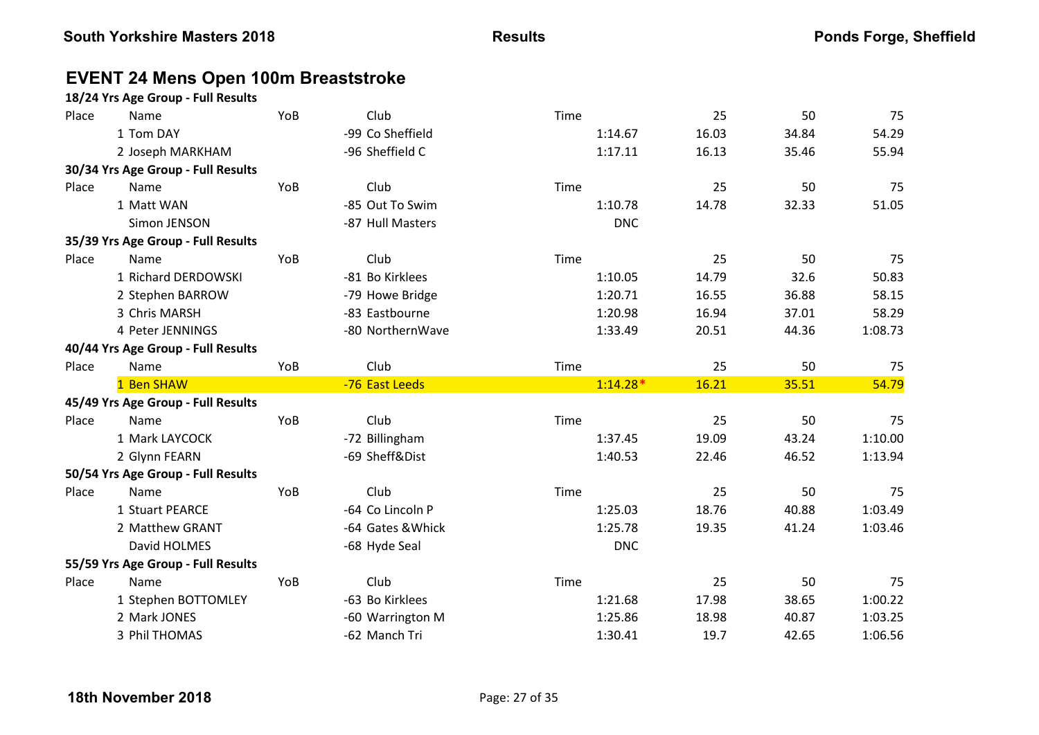## **EVENT 24 Mens Open 100m Breaststroke**

|  |  | 18/24 Yrs Age Group - Full Results |
|--|--|------------------------------------|
|--|--|------------------------------------|

| Place | Name                               | YoB | Club              | Time       | 25    | 50    | 75      |
|-------|------------------------------------|-----|-------------------|------------|-------|-------|---------|
|       | 1 Tom DAY                          |     | -99 Co Sheffield  | 1:14.67    | 16.03 | 34.84 | 54.29   |
|       | 2 Joseph MARKHAM                   |     | -96 Sheffield C   | 1:17.11    | 16.13 | 35.46 | 55.94   |
|       | 30/34 Yrs Age Group - Full Results |     |                   |            |       |       |         |
| Place | Name                               | YoB | Club              | Time       | 25    | 50    | 75      |
|       | 1 Matt WAN                         |     | -85 Out To Swim   | 1:10.78    | 14.78 | 32.33 | 51.05   |
|       | Simon JENSON                       |     | -87 Hull Masters  | <b>DNC</b> |       |       |         |
|       | 35/39 Yrs Age Group - Full Results |     |                   |            |       |       |         |
| Place | Name                               | YoB | Club              | Time       | 25    | 50    | 75      |
|       | 1 Richard DERDOWSKI                |     | -81 Bo Kirklees   | 1:10.05    | 14.79 | 32.6  | 50.83   |
|       | 2 Stephen BARROW                   |     | -79 Howe Bridge   | 1:20.71    | 16.55 | 36.88 | 58.15   |
|       | 3 Chris MARSH                      |     | -83 Eastbourne    | 1:20.98    | 16.94 | 37.01 | 58.29   |
|       | 4 Peter JENNINGS                   |     | -80 NorthernWave  | 1:33.49    | 20.51 | 44.36 | 1:08.73 |
|       | 40/44 Yrs Age Group - Full Results |     |                   |            |       |       |         |
| Place | Name                               | YoB | Club              | Time       | 25    | 50    | 75      |
|       |                                    |     |                   |            |       |       |         |
|       | 1 Ben SHAW                         |     | -76 East Leeds    | $1:14.28*$ | 16.21 | 35.51 | 54.79   |
|       | 45/49 Yrs Age Group - Full Results |     |                   |            |       |       |         |
| Place | Name                               | YoB | Club              | Time       | 25    | 50    | 75      |
|       | 1 Mark LAYCOCK                     |     | -72 Billingham    | 1:37.45    | 19.09 | 43.24 | 1:10.00 |
|       | 2 Glynn FEARN                      |     | -69 Sheff&Dist    | 1:40.53    | 22.46 | 46.52 | 1:13.94 |
|       | 50/54 Yrs Age Group - Full Results |     |                   |            |       |       |         |
| Place | Name                               | YoB | Club              | Time       | 25    | 50    | 75      |
|       | 1 Stuart PEARCE                    |     | -64 Co Lincoln P  | 1:25.03    | 18.76 | 40.88 | 1:03.49 |
|       | 2 Matthew GRANT                    |     | -64 Gates & Whick | 1:25.78    | 19.35 | 41.24 | 1:03.46 |
|       | David HOLMES                       |     | -68 Hyde Seal     | <b>DNC</b> |       |       |         |
|       | 55/59 Yrs Age Group - Full Results |     |                   |            |       |       |         |
| Place | Name                               | YoB | Club              | Time       | 25    | 50    | 75      |
|       | 1 Stephen BOTTOMLEY                |     | -63 Bo Kirklees   | 1:21.68    | 17.98 | 38.65 | 1:00.22 |
|       | 2 Mark JONES                       |     | -60 Warrington M  | 1:25.86    | 18.98 | 40.87 | 1:03.25 |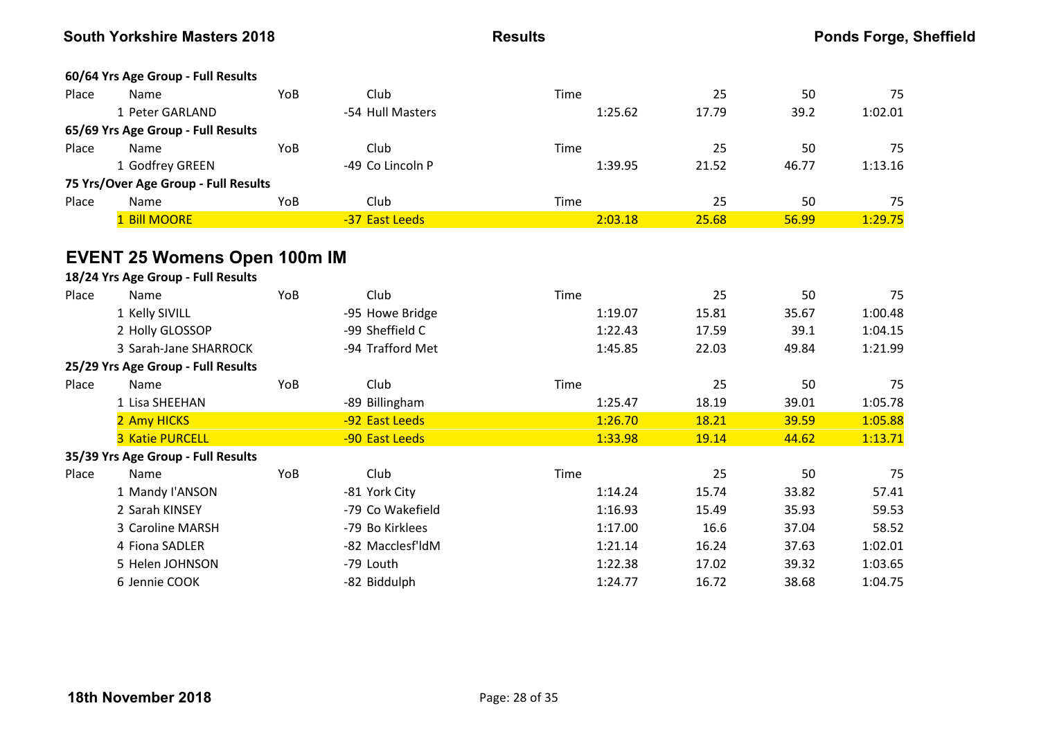| <b>South Yorkshire Masters 2018</b> |                                                                           |     | <b>Results</b>   |         |       | <b>Ponds Forge, Sheffield</b> |         |  |
|-------------------------------------|---------------------------------------------------------------------------|-----|------------------|---------|-------|-------------------------------|---------|--|
|                                     | 60/64 Yrs Age Group - Full Results                                        |     |                  |         |       |                               |         |  |
| Place                               | Name                                                                      | YoB | Club             | Time    | 25    | 50                            | 75      |  |
|                                     | 1 Peter GARLAND                                                           |     | -54 Hull Masters | 1:25.62 | 17.79 | 39.2                          | 1:02.01 |  |
|                                     | 65/69 Yrs Age Group - Full Results                                        |     |                  |         |       |                               |         |  |
| Place                               | Name                                                                      | YoB | Club             | Time    | 25    | 50                            | 75      |  |
|                                     | 1 Godfrey GREEN                                                           |     | -49 Co Lincoln P | 1:39.95 | 21.52 | 46.77                         | 1:13.16 |  |
|                                     | 75 Yrs/Over Age Group - Full Results                                      |     |                  |         |       |                               |         |  |
| Place                               | Name                                                                      | YoB | Club             | Time    | 25    | 50                            | 75      |  |
|                                     | 1 Bill MOORE                                                              |     | -37 East Leeds   | 2:03.18 | 25.68 | 56.99                         | 1:29.75 |  |
|                                     | <b>EVENT 25 Womens Open 100m IM</b><br>18/24 Yrs Age Group - Full Results |     |                  |         |       |                               |         |  |
| Place                               | Name                                                                      | YoB | Club             | Time    | 25    | 50                            | 75      |  |
|                                     | 1 Kelly SIVILL                                                            |     | -95 Howe Bridge  | 1:19.07 | 15.81 | 35.67                         | 1:00.48 |  |
|                                     | 2 Holly GLOSSOP                                                           |     | -99 Sheffield C  | 1:22.43 | 17.59 | 39.1                          | 1:04.15 |  |
|                                     | 3 Sarah-Jane SHARROCK                                                     |     | -94 Trafford Met | 1:45.85 | 22.03 | 49.84                         | 1:21.99 |  |
|                                     | 25/29 Yrs Age Group - Full Results                                        |     |                  |         |       |                               |         |  |
| Place                               | Name                                                                      | YoB | Club             | Time    | 25    | 50                            | 75      |  |
|                                     | 1 Lisa SHEEHAN                                                            |     | -89 Billingham   | 1:25.47 | 18.19 | 39.01                         | 1:05.78 |  |
|                                     | 2 Amy HICKS                                                               |     | -92 East Leeds   | 1:26.70 | 18.21 | 39.59                         | 1:05.88 |  |
|                                     | <b>3 Katie PURCELL</b>                                                    |     | -90 East Leeds   | 1:33.98 | 19.14 | 44.62                         | 1:13.71 |  |
|                                     | 35/39 Yrs Age Group - Full Results                                        |     |                  |         |       |                               |         |  |
| Place                               | Name                                                                      | YoB | Club             | Time    | 25    | 50                            | 75      |  |
|                                     | 1 Mandy I'ANSON                                                           |     | -81 York City    | 1:14.24 | 15.74 | 33.82                         | 57.41   |  |
|                                     | 2 Sarah KINSEY                                                            |     | -79 Co Wakefield | 1:16.93 | 15.49 | 35.93                         | 59.53   |  |
|                                     | 3 Caroline MARSH                                                          |     | -79 Bo Kirklees  | 1:17.00 | 16.6  | 37.04                         | 58.52   |  |
|                                     | 4 Fiona SADLER                                                            |     | -82 Macclesf'ldM | 1:21.14 | 16.24 | 37.63                         | 1:02.01 |  |
|                                     | 5 Helen JOHNSON                                                           |     | -79 Louth        | 1:22.38 | 17.02 | 39.32                         | 1:03.65 |  |
|                                     | 6 Jennie COOK                                                             |     | -82 Biddulph     | 1:24.77 | 16.72 | 38.68                         | 1:04.75 |  |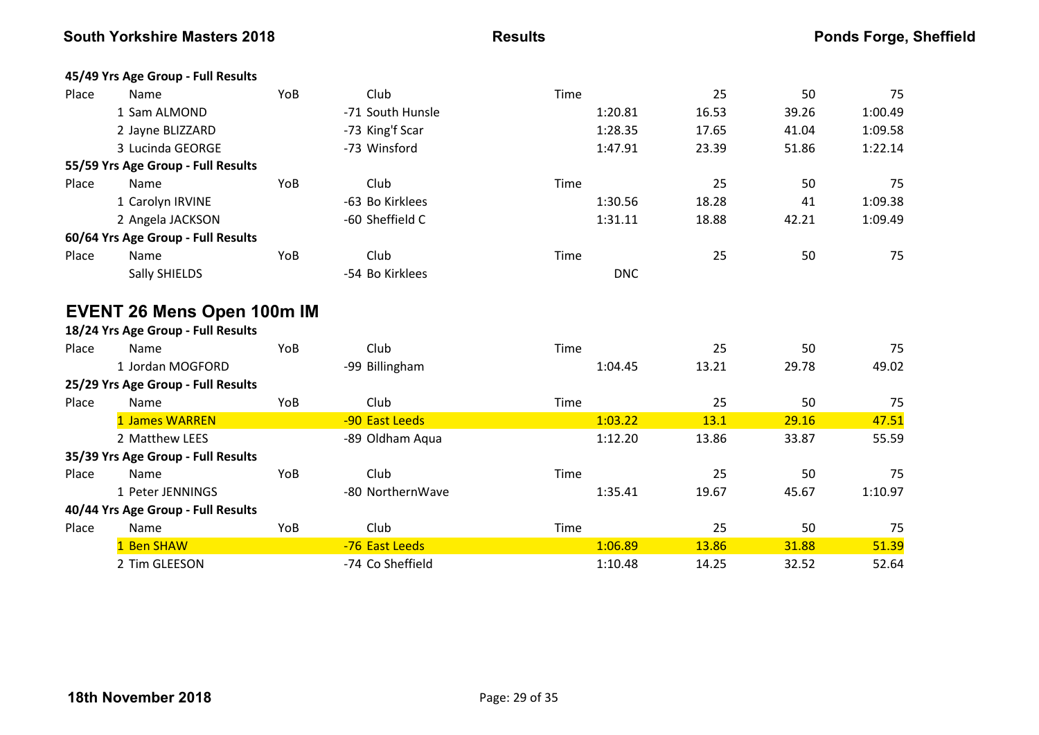| <b>South Yorkshire Masters 2018</b> | Results | <b>Ponds Forge, Sheffield</b> |
|-------------------------------------|---------|-------------------------------|
|                                     |         |                               |

| Place | Name                               | YoB | Club             | Time       | 25    | 50    | 75      |
|-------|------------------------------------|-----|------------------|------------|-------|-------|---------|
|       | 1 Sam ALMOND                       |     | -71 South Hunsle | 1:20.81    | 16.53 | 39.26 | 1:00.49 |
|       | 2 Jayne BLIZZARD                   |     | -73 King'f Scar  | 1:28.35    | 17.65 | 41.04 | 1:09.58 |
|       | 3 Lucinda GEORGE                   |     | -73 Winsford     | 1:47.91    | 23.39 | 51.86 | 1:22.14 |
|       | 55/59 Yrs Age Group - Full Results |     |                  |            |       |       |         |
| Place | Name                               | YoB | Club             | Time       | 25    | 50    | 75      |
|       | 1 Carolyn IRVINE                   |     | -63 Bo Kirklees  | 1:30.56    | 18.28 | 41    | 1:09.38 |
|       | 2 Angela JACKSON                   |     | -60 Sheffield C  | 1:31.11    | 18.88 | 42.21 | 1:09.49 |
|       | 60/64 Yrs Age Group - Full Results |     |                  |            |       |       |         |
| Place | Name                               | YoB | Club             | Time       | 25    | 50    | 75      |
|       | Sally SHIELDS                      |     | -54 Bo Kirklees  | <b>DNC</b> |       |       |         |
|       | <b>EVENT 26 Mens Open 100m IM</b>  |     |                  |            |       |       |         |
|       | 18/24 Yrs Age Group - Full Results |     |                  |            |       |       |         |
| Place | Name                               | YoB | Club             | Time       | 25    | 50    | 75      |
|       | 1 Jordan MOGFORD                   |     | -99 Billingham   | 1:04.45    | 13.21 | 29.78 | 49.02   |
|       | 25/29 Yrs Age Group - Full Results |     |                  |            |       |       |         |
| Place | Name                               | YoB | Club             | Time       | 25    | 50    | 75      |
|       | 1 James WARREN                     |     | -90 East Leeds   | 1:03.22    | 13.1  | 29.16 | 47.51   |
|       | 2 Matthew LEES                     |     | -89 Oldham Aqua  | 1:12.20    | 13.86 | 33.87 | 55.59   |
|       | 35/39 Yrs Age Group - Full Results |     |                  |            |       |       |         |
| Place | Name                               | YoB | Club             | Time       | 25    | 50    | 75      |
|       | 1 Peter JENNINGS                   |     | -80 NorthernWave | 1:35.41    | 19.67 | 45.67 | 1:10.97 |
|       | 40/44 Yrs Age Group - Full Results |     |                  |            |       |       |         |
| Place | Name                               | YoB | Club             | Time       | 25    | 50    | 75      |
|       | 1 Ben SHAW                         |     | -76 East Leeds   | 1:06.89    | 13.86 | 31.88 | 51.39   |
|       | 2 Tim GLEESON                      |     | -74 Co Sheffield | 1:10.48    | 14.25 | 32.52 | 52.64   |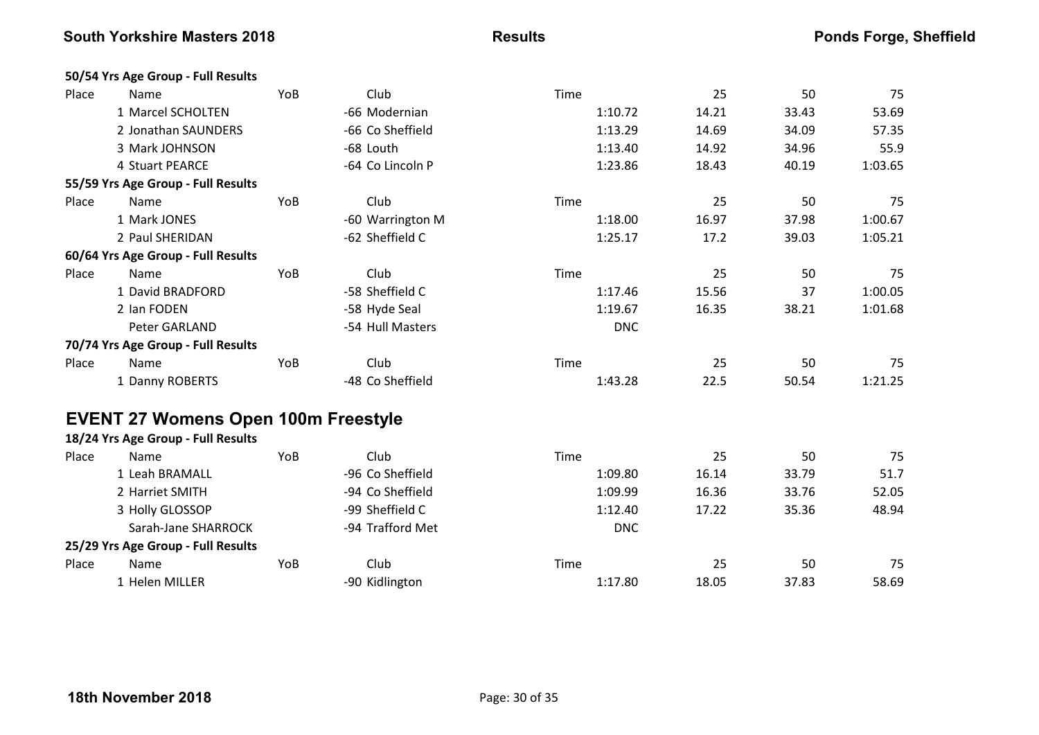#### **South Yorkshire Masters 2018** Results **Results Results Results Results Results Ponds Forge, Sheffield**

## **50/54 Yrs Age Group - Full Results** Place Name YoB Club Time 25 50 75 1 Marcel SCHOLTEN -66 Modernian - 1:10.72 14.21 33.43 53.69 2 Jonathan SAUNDERS -66 Co Sheffield -66 Co Sheffield -66 Co Sheffield -66 Co Sheffield -66 Co Sheffield -66 Co Sheffield -66 Co Sheffield -66 Co Sheffield -66 Co Sheffield -66 Co Sheffield -66 Co Sheffield -66 Co Sheffiel 3 Mark JOHNSON -68 Louth 1:13.40 14.92 34.96 55.9 4 Stuart PEARCE -64 Co Lincoln P 1:23.86 18.43 40.19 1:03.65 **55/59 Yrs Age Group - Full Results** Place Name YoB Club Time 25 50 75 1 Mark JONES -60 Warrington M 1:18.00 16.97 37.98 1:00.67 2 Paul SHERIDAN 1:05.21 1:05.21 17.2 39.03 1:05.21 **60/64 Yrs Age Group - Full Results** Place Name YoB Club Time 25 50 75 1 David BRADFORD -58 Sheffield C 1:17.46 15.56 37 1:00.05 2 Ian FODEN 1:01.68 1:19.67 16.35 38.21 1:01.68 Peter GARLAND -54 Hull Masters DNC **70/74 Yrs Age Group - Full Results** Place Name YoB Club Time 25 50 75 1 Danny ROBERTS -48 Co Sheffield 1:43.28 22.5 50.54 1:21.25 **EVENT 27 Womens Open 100m Freestyle 18/24 Yrs Age Group - Full Results** Place Name YoB Club Time 25 50 75 1 Leah BRAMALL -96 Co Sheffield 1:09.80 16.14 33.79 51.7 2 Harriet SMITH 11.09.99 16.36 33.76 52.05 3 Holly GLOSSOP -99 Sheffield C 1:12.40 17.22 35.36 48.94

## **25/29 Yrs Age Group - Full Results**

| Place | <b>Name</b>    | YoB | Club           | Time    | n r   | 50    | フロ    |
|-------|----------------|-----|----------------|---------|-------|-------|-------|
|       | 1 Helen MILLER |     | -90 Kidlington | 1:17.80 | 18.05 | 37.83 | 58.69 |

Sarah-Jane SHARROCK -94 Trafford Met DNC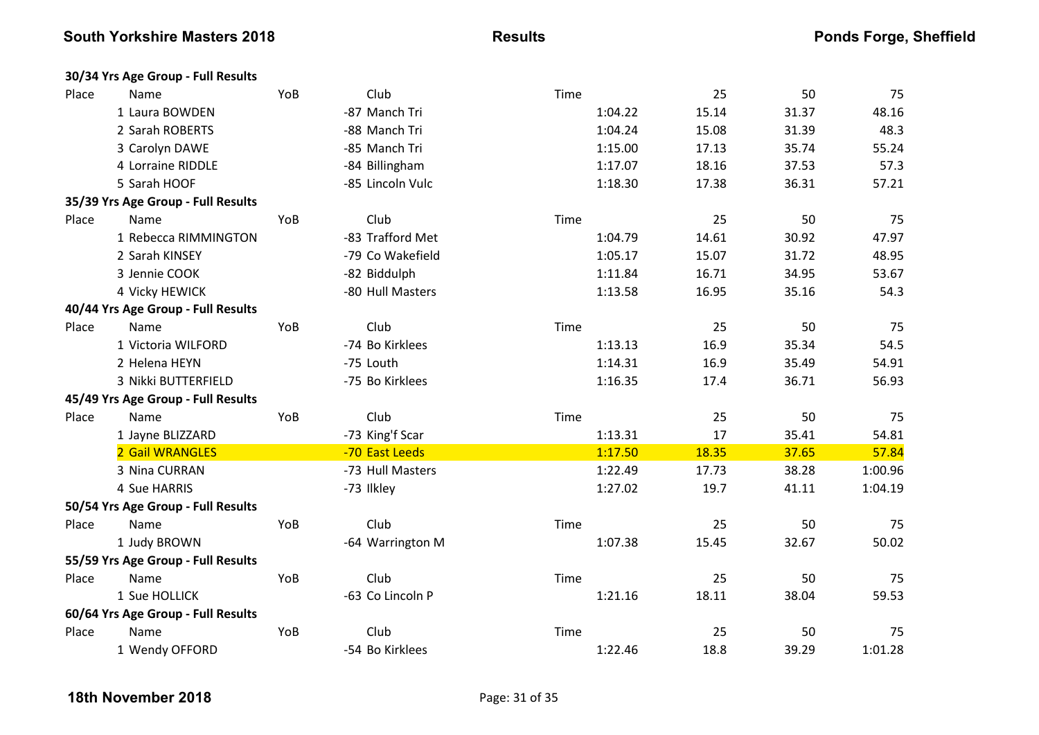| Place | Name                               | YoB | Club             | Time    | 25    | 50    | 75      |
|-------|------------------------------------|-----|------------------|---------|-------|-------|---------|
|       | 1 Laura BOWDEN                     |     | -87 Manch Tri    | 1:04.22 | 15.14 | 31.37 | 48.16   |
|       | 2 Sarah ROBERTS                    |     | -88 Manch Tri    | 1:04.24 | 15.08 | 31.39 | 48.3    |
|       | 3 Carolyn DAWE                     |     | -85 Manch Tri    | 1:15.00 | 17.13 | 35.74 | 55.24   |
|       | 4 Lorraine RIDDLE                  |     | -84 Billingham   | 1:17.07 | 18.16 | 37.53 | 57.3    |
|       | 5 Sarah HOOF                       |     | -85 Lincoln Vulc | 1:18.30 | 17.38 | 36.31 | 57.21   |
|       | 35/39 Yrs Age Group - Full Results |     |                  |         |       |       |         |
| Place | Name                               | YoB | Club             | Time    | 25    | 50    | 75      |
|       | 1 Rebecca RIMMINGTON               |     | -83 Trafford Met | 1:04.79 | 14.61 | 30.92 | 47.97   |
|       | 2 Sarah KINSEY                     |     | -79 Co Wakefield | 1:05.17 | 15.07 | 31.72 | 48.95   |
|       | 3 Jennie COOK                      |     | -82 Biddulph     | 1:11.84 | 16.71 | 34.95 | 53.67   |
|       | 4 Vicky HEWICK                     |     | -80 Hull Masters | 1:13.58 | 16.95 | 35.16 | 54.3    |
|       | 40/44 Yrs Age Group - Full Results |     |                  |         |       |       |         |
| Place | Name                               | YoB | Club             | Time    | 25    | 50    | 75      |
|       | 1 Victoria WILFORD                 |     | -74 Bo Kirklees  | 1:13.13 | 16.9  | 35.34 | 54.5    |
|       | 2 Helena HEYN                      |     | -75 Louth        | 1:14.31 | 16.9  | 35.49 | 54.91   |
|       | 3 Nikki BUTTERFIELD                |     | -75 Bo Kirklees  | 1:16.35 | 17.4  | 36.71 | 56.93   |
|       | 45/49 Yrs Age Group - Full Results |     |                  |         |       |       |         |
| Place | Name                               | YoB | Club             | Time    | 25    | 50    | 75      |
|       | 1 Jayne BLIZZARD                   |     | -73 King'f Scar  | 1:13.31 | 17    | 35.41 | 54.81   |
|       | 2 Gail WRANGLES                    |     | -70 East Leeds   | 1:17.50 | 18.35 | 37.65 | 57.84   |
|       | 3 Nina CURRAN                      |     | -73 Hull Masters | 1:22.49 | 17.73 | 38.28 | 1:00.96 |
|       | 4 Sue HARRIS                       |     | -73 Ilkley       | 1:27.02 | 19.7  | 41.11 | 1:04.19 |
|       | 50/54 Yrs Age Group - Full Results |     |                  |         |       |       |         |
| Place | Name                               | YoB | Club             | Time    | 25    | 50    | 75      |
|       | 1 Judy BROWN                       |     | -64 Warrington M | 1:07.38 | 15.45 | 32.67 | 50.02   |
|       | 55/59 Yrs Age Group - Full Results |     |                  |         |       |       |         |
| Place | Name                               | YoB | Club             | Time    | 25    | 50    | 75      |
|       | 1 Sue HOLLICK                      |     | -63 Co Lincoln P | 1:21.16 | 18.11 | 38.04 | 59.53   |
|       | 60/64 Yrs Age Group - Full Results |     |                  |         |       |       |         |
| Place | Name                               | YoB | Club             | Time    | 25    | 50    | 75      |
|       | 1 Wendy OFFORD                     |     | -54 Bo Kirklees  | 1:22.46 | 18.8  | 39.29 | 1:01.28 |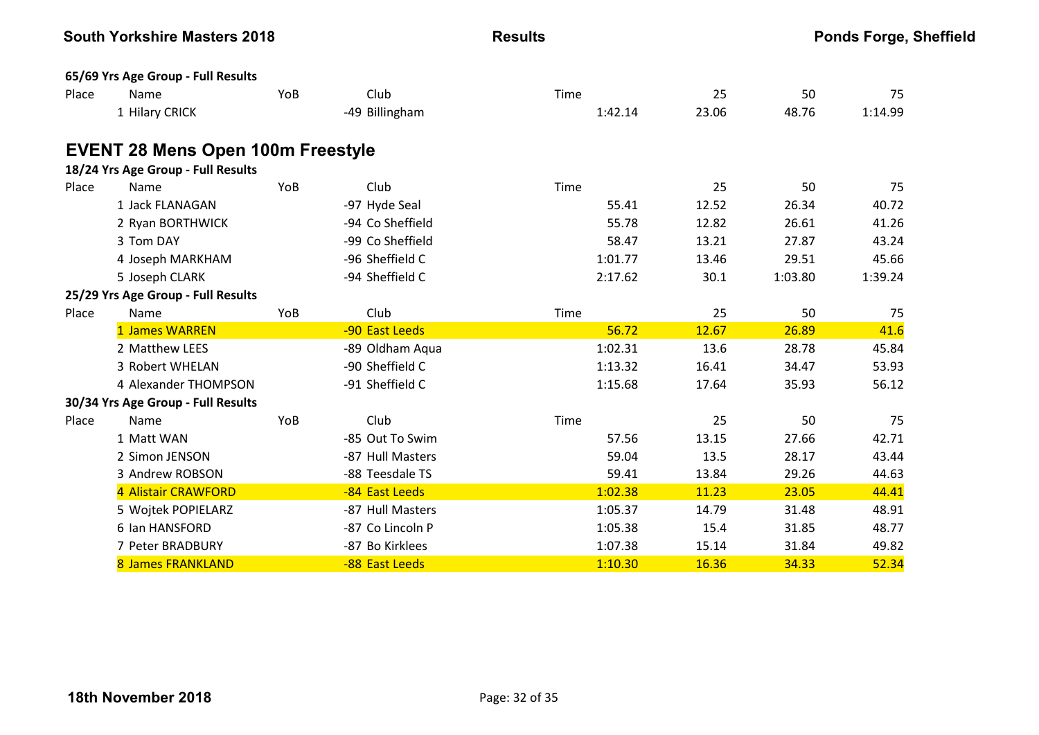|  | <b>South Yorkshire Masters 2018</b> |
|--|-------------------------------------|
|--|-------------------------------------|

**65/69 Yrs Age Group - Full Results**

## Place Name YoB Club Time 25 50 75 1 Hilary CRICK 1:14.99 and the Hilary CRICK 1:42.14 1:42.14 1:42.14 1:14.99 **EVENT 28 Mens Open 100m Freestyle 18/24 Yrs Age Group - Full Results**

| Place | Name                               | YoB | Club             | Time    | 25    | 50      | 75      |
|-------|------------------------------------|-----|------------------|---------|-------|---------|---------|
|       | 1 Jack FLANAGAN                    |     | -97 Hyde Seal    | 55.41   | 12.52 | 26.34   | 40.72   |
|       | 2 Ryan BORTHWICK                   |     | -94 Co Sheffield | 55.78   | 12.82 | 26.61   | 41.26   |
|       | 3 Tom DAY                          |     | -99 Co Sheffield | 58.47   | 13.21 | 27.87   | 43.24   |
|       | 4 Joseph MARKHAM                   |     | -96 Sheffield C  | 1:01.77 | 13.46 | 29.51   | 45.66   |
|       | 5 Joseph CLARK                     |     | -94 Sheffield C  | 2:17.62 | 30.1  | 1:03.80 | 1:39.24 |
|       | 25/29 Yrs Age Group - Full Results |     |                  |         |       |         |         |
| Place | Name                               | YoB | Club             | Time    | 25    | 50      | 75      |
|       | 1 James WARREN                     |     | -90 East Leeds   | 56.72   | 12.67 | 26.89   | 41.6    |
|       | 2 Matthew LEES                     |     | -89 Oldham Aqua  | 1:02.31 | 13.6  | 28.78   | 45.84   |
|       | 3 Robert WHELAN                    |     | -90 Sheffield C  | 1:13.32 | 16.41 | 34.47   | 53.93   |
|       | 4 Alexander THOMPSON               |     | -91 Sheffield C  | 1:15.68 | 17.64 | 35.93   | 56.12   |
|       | 30/34 Yrs Age Group - Full Results |     |                  |         |       |         |         |
| Place | Name                               | YoB | Club             | Time    | 25    | 50      | 75      |
|       | 1 Matt WAN                         |     | -85 Out To Swim  | 57.56   | 13.15 | 27.66   | 42.71   |
|       | 2 Simon JENSON                     |     | -87 Hull Masters | 59.04   | 13.5  | 28.17   | 43.44   |
|       | 3 Andrew ROBSON                    |     | -88 Teesdale TS  | 59.41   | 13.84 | 29.26   | 44.63   |
|       | 4 Alistair CRAWFORD                |     | -84 East Leeds   | 1:02.38 | 11.23 | 23.05   | 44.41   |
|       | 5 Wojtek POPIELARZ                 |     | -87 Hull Masters | 1:05.37 | 14.79 | 31.48   | 48.91   |
|       | 6 Ian HANSFORD                     |     | -87 Co Lincoln P | 1:05.38 | 15.4  | 31.85   | 48.77   |
|       | 7 Peter BRADBURY                   |     | -87 Bo Kirklees  | 1:07.38 | 15.14 | 31.84   | 49.82   |
|       | <b>8 James FRANKLAND</b>           |     | -88 East Leeds   | 1:10.30 | 16.36 | 34.33   | 52.34   |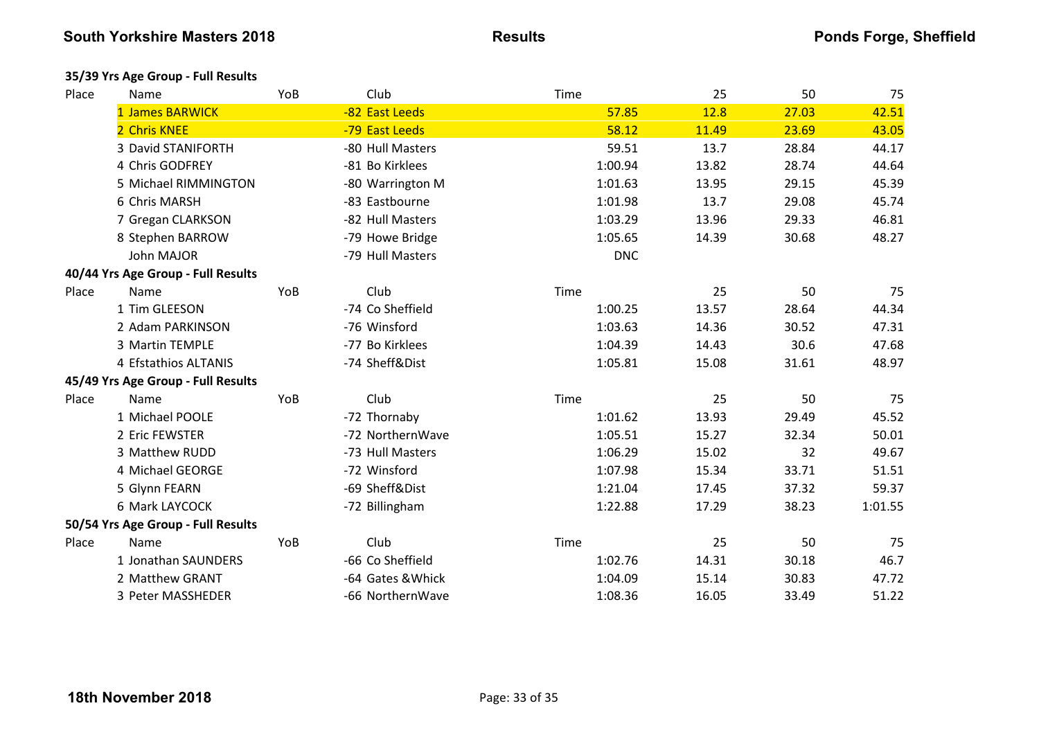| Place | Name                               | YoB | Club              | Time       | 25    | 50    | 75      |
|-------|------------------------------------|-----|-------------------|------------|-------|-------|---------|
|       | 1 James BARWICK                    |     | -82 East Leeds    | 57.85      | 12.8  | 27.03 | 42.51   |
|       | 2 Chris KNEE                       |     | -79 East Leeds    | 58.12      | 11.49 | 23.69 | 43.05   |
|       | 3 David STANIFORTH                 |     | -80 Hull Masters  | 59.51      | 13.7  | 28.84 | 44.17   |
|       | 4 Chris GODFREY                    |     | -81 Bo Kirklees   | 1:00.94    | 13.82 | 28.74 | 44.64   |
|       | 5 Michael RIMMINGTON               |     | -80 Warrington M  | 1:01.63    | 13.95 | 29.15 | 45.39   |
|       | 6 Chris MARSH                      |     | -83 Eastbourne    | 1:01.98    | 13.7  | 29.08 | 45.74   |
|       | 7 Gregan CLARKSON                  |     | -82 Hull Masters  | 1:03.29    | 13.96 | 29.33 | 46.81   |
|       | 8 Stephen BARROW                   |     | -79 Howe Bridge   | 1:05.65    | 14.39 | 30.68 | 48.27   |
|       | John MAJOR                         |     | -79 Hull Masters  | <b>DNC</b> |       |       |         |
|       | 40/44 Yrs Age Group - Full Results |     |                   |            |       |       |         |
| Place | Name                               | YoB | Club              | Time       | 25    | 50    | 75      |
|       | 1 Tim GLEESON                      |     | -74 Co Sheffield  | 1:00.25    | 13.57 | 28.64 | 44.34   |
|       | 2 Adam PARKINSON                   |     | -76 Winsford      | 1:03.63    | 14.36 | 30.52 | 47.31   |
|       | 3 Martin TEMPLE                    |     | -77 Bo Kirklees   | 1:04.39    | 14.43 | 30.6  | 47.68   |
|       | 4 Efstathios ALTANIS               |     | -74 Sheff&Dist    | 1:05.81    | 15.08 | 31.61 | 48.97   |
|       | 45/49 Yrs Age Group - Full Results |     |                   |            |       |       |         |
| Place | Name                               | YoB | Club              | Time       | 25    | 50    | 75      |
|       | 1 Michael POOLE                    |     | -72 Thornaby      | 1:01.62    | 13.93 | 29.49 | 45.52   |
|       | 2 Eric FEWSTER                     |     | -72 NorthernWave  | 1:05.51    | 15.27 | 32.34 | 50.01   |
|       | 3 Matthew RUDD                     |     | -73 Hull Masters  | 1:06.29    | 15.02 | 32    | 49.67   |
|       | 4 Michael GEORGE                   |     | -72 Winsford      | 1:07.98    | 15.34 | 33.71 | 51.51   |
|       | 5 Glynn FEARN                      |     | -69 Sheff&Dist    | 1:21.04    | 17.45 | 37.32 | 59.37   |
|       | 6 Mark LAYCOCK                     |     | -72 Billingham    | 1:22.88    | 17.29 | 38.23 | 1:01.55 |
|       | 50/54 Yrs Age Group - Full Results |     |                   |            |       |       |         |
| Place | Name                               | YoB | Club              | Time       | 25    | 50    | 75      |
|       | 1 Jonathan SAUNDERS                |     | -66 Co Sheffield  | 1:02.76    | 14.31 | 30.18 | 46.7    |
|       | 2 Matthew GRANT                    |     | -64 Gates & Whick | 1:04.09    | 15.14 | 30.83 | 47.72   |
|       | 3 Peter MASSHEDER                  |     | -66 NorthernWave  | 1:08.36    | 16.05 | 33.49 | 51.22   |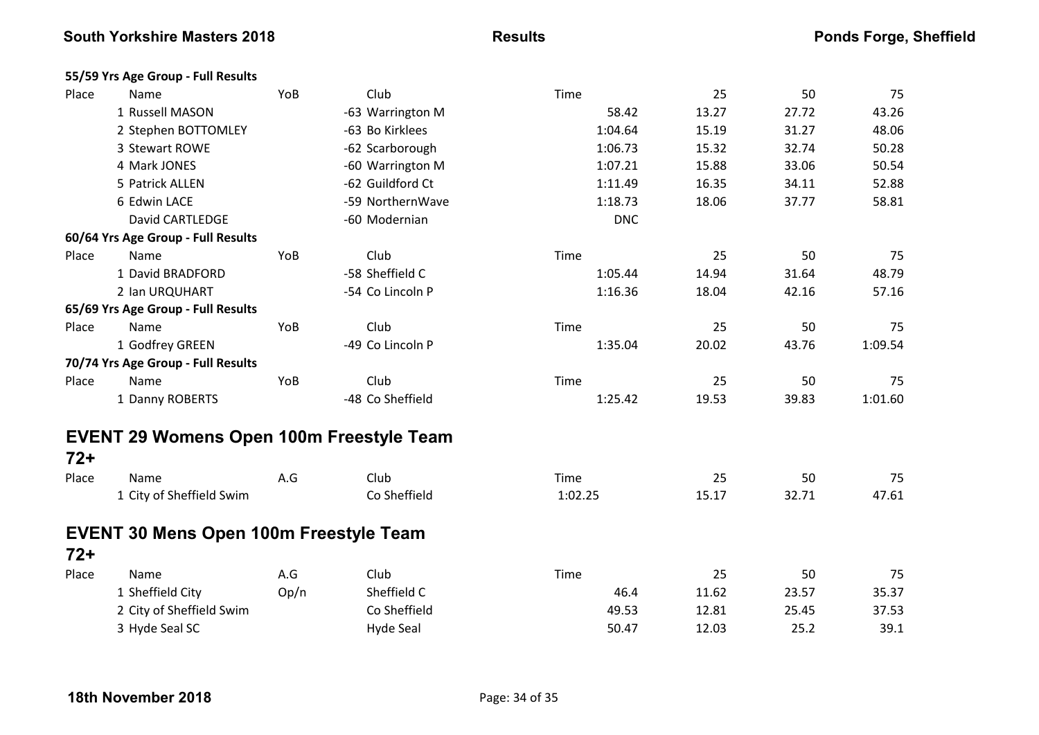| Place | Name                                            | YoB  | Club             | Time       | 25    | 50    | 75      |
|-------|-------------------------------------------------|------|------------------|------------|-------|-------|---------|
|       | 1 Russell MASON                                 |      | -63 Warrington M | 58.42      | 13.27 | 27.72 | 43.26   |
|       | 2 Stephen BOTTOMLEY                             |      | -63 Bo Kirklees  | 1:04.64    | 15.19 | 31.27 | 48.06   |
|       | 3 Stewart ROWE                                  |      | -62 Scarborough  | 1:06.73    | 15.32 | 32.74 | 50.28   |
|       | 4 Mark JONES                                    |      | -60 Warrington M | 1:07.21    | 15.88 | 33.06 | 50.54   |
|       | 5 Patrick ALLEN                                 |      | -62 Guildford Ct | 1:11.49    | 16.35 | 34.11 | 52.88   |
|       | 6 Edwin LACE                                    |      | -59 NorthernWave | 1:18.73    | 18.06 | 37.77 | 58.81   |
|       | David CARTLEDGE                                 |      | -60 Modernian    | <b>DNC</b> |       |       |         |
|       | 60/64 Yrs Age Group - Full Results              |      |                  |            |       |       |         |
| Place | Name                                            | YoB  | Club             | Time       | 25    | 50    | 75      |
|       | 1 David BRADFORD                                |      | -58 Sheffield C  | 1:05.44    | 14.94 | 31.64 | 48.79   |
|       | 2 Ian URQUHART                                  |      | -54 Co Lincoln P | 1:16.36    | 18.04 | 42.16 | 57.16   |
|       | 65/69 Yrs Age Group - Full Results              |      |                  |            |       |       |         |
| Place | Name                                            | YoB  | Club             | Time       | 25    | 50    | 75      |
|       | 1 Godfrey GREEN                                 |      | -49 Co Lincoln P | 1:35.04    | 20.02 | 43.76 | 1:09.54 |
|       | 70/74 Yrs Age Group - Full Results              |      |                  |            |       |       |         |
| Place | Name                                            | YoB  | Club             | Time       | 25    | 50    | 75      |
|       | 1 Danny ROBERTS                                 |      | -48 Co Sheffield | 1:25.42    | 19.53 | 39.83 | 1:01.60 |
| $72+$ | <b>EVENT 29 Womens Open 100m Freestyle Team</b> |      |                  |            |       |       |         |
| Place | Name                                            | A.G  | Club             | Time       | 25    | 50    | 75      |
|       | 1 City of Sheffield Swim                        |      | Co Sheffield     | 1:02.25    | 15.17 | 32.71 | 47.61   |
| $72+$ | <b>EVENT 30 Mens Open 100m Freestyle Team</b>   |      |                  |            |       |       |         |
| Place | Name                                            | A.G  | Club             | Time       | 25    | 50    | 75      |
|       | 1 Sheffield City                                | Op/n | Sheffield C      | 46.4       | 11.62 | 23.57 | 35.37   |
|       | 2 City of Sheffield Swim                        |      | Co Sheffield     | 49.53      | 12.81 | 25.45 | 37.53   |
|       | 3 Hyde Seal SC                                  |      | Hyde Seal        | 50.47      | 12.03 | 25.2  | 39.1    |